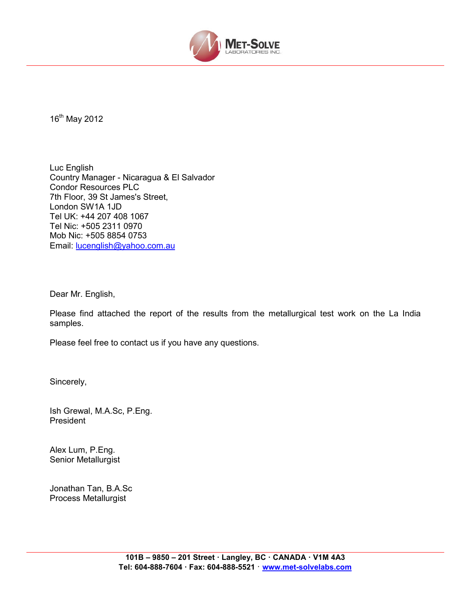

16th May 2012

Luc English Country Manager - Nicaragua & El Salvador Condor Resources PLC 7th Floor, 39 St James's Street, London SW1A 1JD Tel UK: +44 207 408 1067 Tel Nic: +505 2311 0970 Mob Nic: +505 8854 0753 Email: lucenglish@yahoo.com.au

Dear Mr. English,

Please find attached the report of the results from the metallurgical test work on the La India samples.

Please feel free to contact us if you have any questions.

Sincerely,

Ish Grewal, M.A.Sc, P.Eng. President

Alex Lum, P.Eng. Senior Metallurgist

Jonathan Tan, B.A.Sc Process Metallurgist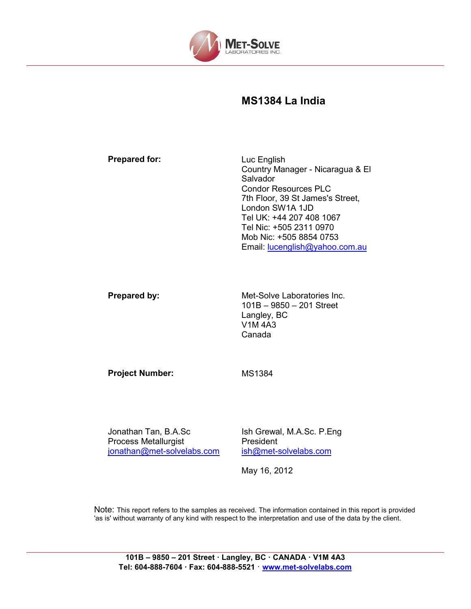

## **MS1384 La India**

| <b>Prepared for:</b> | Luc English                      |
|----------------------|----------------------------------|
|                      | Country Manager - Nicaragua & El |
|                      | Salvador                         |
|                      | <b>Condor Resources PLC</b>      |
|                      | 7th Floor, 39 St James's Street, |
|                      | London SW1A 1JD                  |
|                      | Tel UK: +44 207 408 1067         |
|                      | Tel Nic: +505 2311 0970          |
|                      | Mob Nic: +505 8854 0753          |
|                      | Email: lucenglish@yahoo.com.au   |
|                      |                                  |
|                      |                                  |

**Prepared by:** Met-Solve Laboratories Inc. 101B – 9850 – 201 Street Langley, BC V1M 4A3 Canada

Project Number: MS1384

Jonathan Tan, B.A.Sc Process Metallurgist jonathan@met-solvelabs.com Ish Grewal, M.A.Sc. P.Eng President ish@met-solvelabs.com

May 16, 2012

Note: This report refers to the samples as received. The information contained in this report is provided 'as is' without warranty of any kind with respect to the interpretation and use of the data by the client.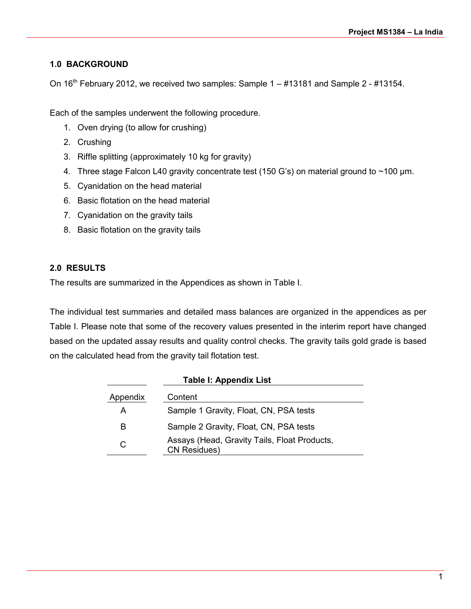## **1.0 BACKGROUND**

On  $16<sup>th</sup>$  February 2012, we received two samples: Sample  $1 - #13181$  and Sample  $2 - #13154$ .

Each of the samples underwent the following procedure.

- 1. Oven drying (to allow for crushing)
- 2. Crushing
- 3. Riffle splitting (approximately 10 kg for gravity)
- 4. Three stage Falcon L40 gravity concentrate test (150 G's) on material ground to ~100 µm.
- 5. Cyanidation on the head material
- 6. Basic flotation on the head material
- 7. Cyanidation on the gravity tails
- 8. Basic flotation on the gravity tails

## **2.0 RESULTS**

The results are summarized in the Appendices as shown in Table I.

The individual test summaries and detailed mass balances are organized in the appendices as per Table I. Please note that some of the recovery values presented in the interim report have changed based on the updated assay results and quality control checks. The gravity tails gold grade is based on the calculated head from the gravity tail flotation test.

|          | <b>Table I: Appendix List</b>                                       |
|----------|---------------------------------------------------------------------|
| Appendix | Content                                                             |
| A        | Sample 1 Gravity, Float, CN, PSA tests                              |
| B        | Sample 2 Gravity, Float, CN, PSA tests                              |
| С        | Assays (Head, Gravity Tails, Float Products,<br><b>CN Residues)</b> |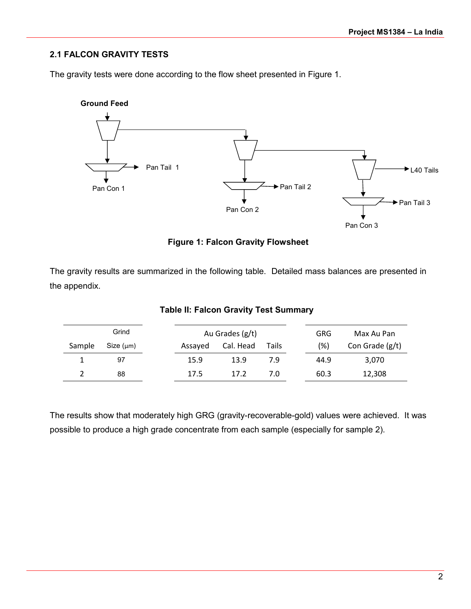## **2.1 FALCON GRAVITY TESTS**

The gravity tests were done according to the flow sheet presented in Figure 1.



## **Figure 1: Falcon Gravity Flowsheet**

The gravity results are summarized in the following table. Detailed mass balances are presented in the appendix.

|        | Grind     |         | Au Grades (g/t) |              | <b>GRG</b> | Max Au Pan      |
|--------|-----------|---------|-----------------|--------------|------------|-----------------|
| Sample | Size (µm) | Assayed | Cal. Head       | <b>Tails</b> | (%)        | Con Grade (g/t) |
|        | 97        | 15.9    | 13.9            | 7.9          | 44.9       | 3.070           |
|        | 88        | 17.5    | 17.2            | 7.0          | 60.3       | 12,308          |

## **Table II: Falcon Gravity Test Summary**

The results show that moderately high GRG (gravity-recoverable-gold) values were achieved. It was possible to produce a high grade concentrate from each sample (especially for sample 2).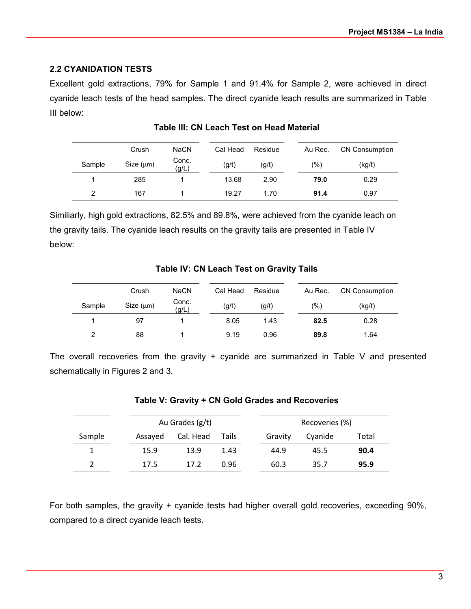## **2.2 CYANIDATION TESTS**

Excellent gold extractions, 79% for Sample 1 and 91.4% for Sample 2, were achieved in direct cyanide leach tests of the head samples. The direct cyanide leach results are summarized in Table III below:

|        | Crush          | <b>NaCN</b>    | Cal Head | Residue | Au Rec. | <b>CN Consumption</b> |
|--------|----------------|----------------|----------|---------|---------|-----------------------|
| Sample | Size $(\mu m)$ | Conc.<br>(g/L) | (g/t)    | (g/t)   | (%)     | (kg/t)                |
|        | 285            |                | 13.68    | 2.90    | 79.0    | 0.29                  |
| 2      | 167            |                | 19.27    | 1.70    | 91.4    | 0.97                  |

## **Table III: CN Leach Test on Head Material**

Similiarly, high gold extractions, 82.5% and 89.8%, were achieved from the cyanide leach on the gravity tails. The cyanide leach results on the gravity tails are presented in Table IV below:

|        | Crush          | <b>NaCN</b>    | Cal Head | Residue | Au Rec.       | <b>CN Consumption</b> |
|--------|----------------|----------------|----------|---------|---------------|-----------------------|
| Sample | Size $(\mu m)$ | Conc.<br>(g/L) | (g/t)    | (g/t)   | $\frac{1}{2}$ | (kg/t)                |
|        | 97             |                | 8.05     | 1.43    | 82.5          | 0.28                  |
| 2      | 88             |                | 9.19     | 0.96    | 89.8          | 1.64                  |

## **Table IV: CN Leach Test on Gravity Tails**

The overall recoveries from the gravity + cyanide are summarized in Table V and presented schematically in Figures 2 and 3.

|        |         | Au Grades (g/t) |       |         | Recoveries (%) |       |
|--------|---------|-----------------|-------|---------|----------------|-------|
| Sample | Assayed | Cal. Head       | Tails | Gravity | Cyanide        | Total |
| 1      | 15.9    | 13.9            | 1.43  | 44.9    | 45.5           | 90.4  |
| 2      | 17.5    | 17.2            | 0.96  | 60.3    | 35.7           | 95.9  |

## **Table V: Gravity + CN Gold Grades and Recoveries**

For both samples, the gravity + cyanide tests had higher overall gold recoveries, exceeding 90%, compared to a direct cyanide leach tests.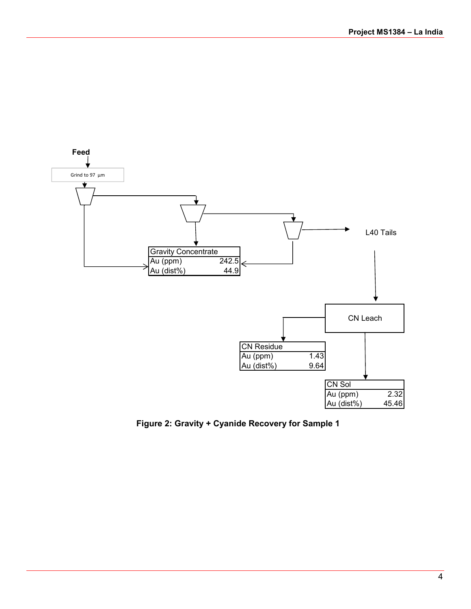

**Figure 2: Gravity + Cyanide Recovery for Sample 1**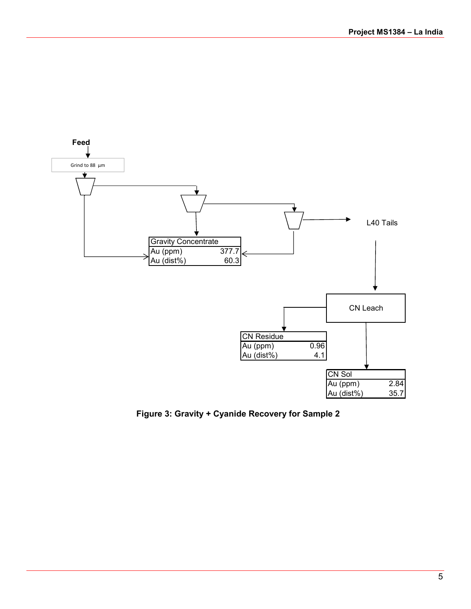

**Figure 3: Gravity + Cyanide Recovery for Sample 2**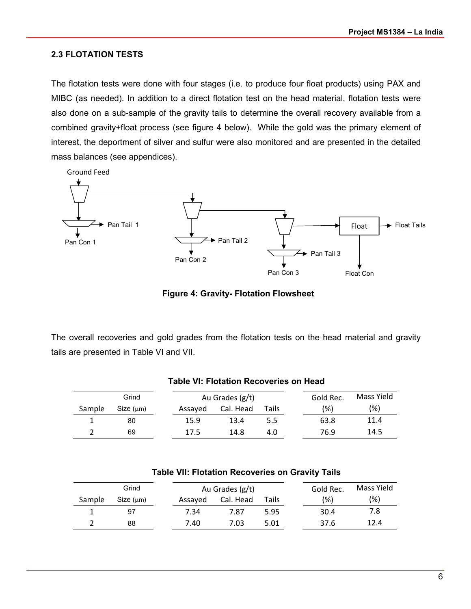## **2.3 FLOTATION TESTS**

The flotation tests were done with four stages (i.e. to produce four float products) using PAX and MIBC (as needed). In addition to a direct flotation test on the head material, flotation tests were also done on a sub-sample of the gravity tails to determine the overall recovery available from a combined gravity+float process (see figure 4 below). While the gold was the primary element of interest, the deportment of silver and sulfur were also monitored and are presented in the detailed mass balances (see appendices).

![](_page_7_Figure_3.jpeg)

**Figure 4: Gravity- Flotation Flowsheet** 

The overall recoveries and gold grades from the flotation tests on the head material and gravity tails are presented in Table VI and VII.

|        | Grind     |         | Au Grades (g/t) |       | Gold Rec. | Mass Yield |
|--------|-----------|---------|-----------------|-------|-----------|------------|
| Sample | Size (µm) | Assayed | Cal. Head       | Tails | (% )      | (%)        |
|        | 80        | 15.9    | 13.4            | 5.5   | 63.8      | 11.4       |
|        | 69        | 17.5    | 14.8            | 4.0   | 76.9      | 14.5       |

|  |  | <b>Table VI: Flotation Recoveries on Head</b> |  |  |
|--|--|-----------------------------------------------|--|--|
|--|--|-----------------------------------------------|--|--|

|        | Grind     |         | Au Grades (g/t) |       | Gold Rec. | Mass Yield |
|--------|-----------|---------|-----------------|-------|-----------|------------|
| Sample | Size (µm) | Assayed | Cal. Head       | Tails | (% )      | $(\%)$     |
|        | 97        | 7.34    | 7.87            | 5.95  | 30.4      | 7.8        |
|        | 88        | 7.40    | 7.03            | 5.01  | 37.6      | 12.4       |

## **Table VII: Flotation Recoveries on Gravity Tails**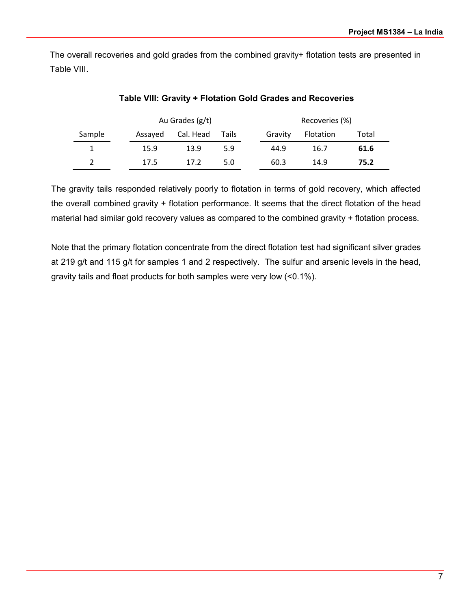The overall recoveries and gold grades from the combined gravity+ flotation tests are presented in Table VIII.

|        |         | Au Grades (g/t) |       |         | Recoveries (%) |       |
|--------|---------|-----------------|-------|---------|----------------|-------|
| Sample | Assayed | Cal. Head       | Tails | Gravity | Flotation      | Total |
|        | 15.9    | 13.9            | 5.9   | 44.9    | 16.7           | 61.6  |
|        | 17.5    | 17.2            | 5.0   | 60.3    | 14.9           | 75.2  |

**Table VIII: Gravity + Flotation Gold Grades and Recoveries** 

The gravity tails responded relatively poorly to flotation in terms of gold recovery, which affected the overall combined gravity + flotation performance. It seems that the direct flotation of the head material had similar gold recovery values as compared to the combined gravity + flotation process.

Note that the primary flotation concentrate from the direct flotation test had significant silver grades at 219 g/t and 115 g/t for samples 1 and 2 respectively. The sulfur and arsenic levels in the head, gravity tails and float products for both samples were very low (<0.1%).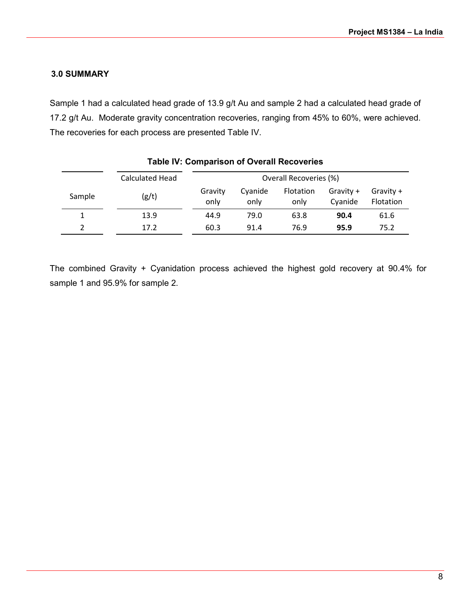## **3.0 SUMMARY**

Sample 1 had a calculated head grade of 13.9 g/t Au and sample 2 had a calculated head grade of 17.2 g/t Au. Moderate gravity concentration recoveries, ranging from 45% to 60%, were achieved. The recoveries for each process are presented Table IV.

|        | Calculated Head |                 |                 | Overall Recoveries (%) |                      |                        |
|--------|-----------------|-----------------|-----------------|------------------------|----------------------|------------------------|
| Sample | (g/t)           | Gravity<br>only | Cyanide<br>only | Flotation<br>only      | Gravity +<br>Cyanide | Gravity +<br>Flotation |
|        | 13.9            | 44.9            | 79.0            | 63.8                   | 90.4                 | 61.6                   |
|        | 17.2            | 60.3            | 91.4            | 76.9                   | 95.9                 | 75.2                   |

## **Table IV: Comparison of Overall Recoveries**

The combined Gravity + Cyanidation process achieved the highest gold recovery at 90.4% for sample 1 and 95.9% for sample 2.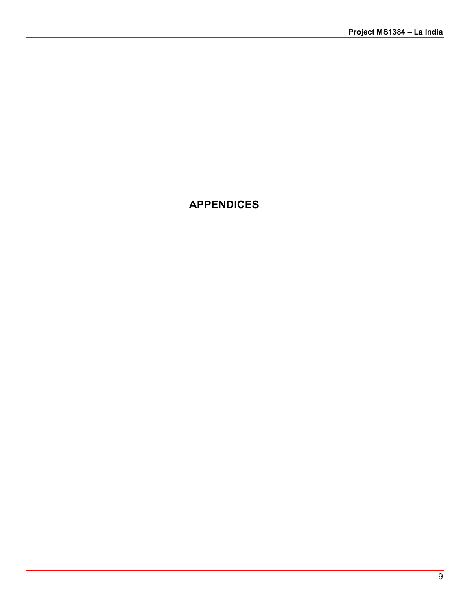## **APPENDICES**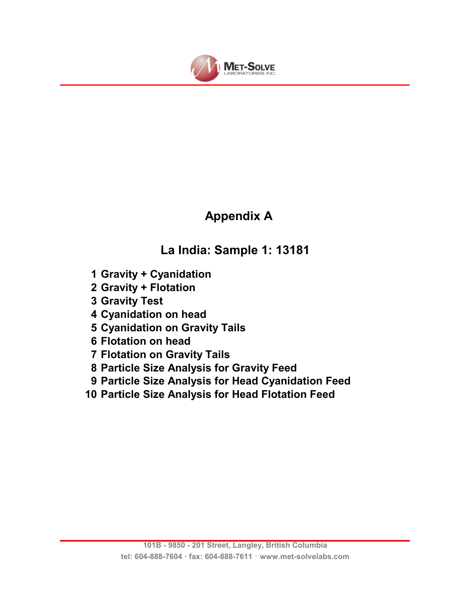![](_page_11_Picture_0.jpeg)

# **Appendix A**

# **La India: Sample 1: 13181**

- **1 Gravity + Cyanidation**
- **2 Gravity + Flotation**
- **3 Gravity Test**
- **4 Cyanidation on head**
- **5 Cyanidation on Gravity Tails**
- **6 Flotation on head**
- **7 Flotation on Gravity Tails**
- **8 Particle Size Analysis for Gravity Feed**
- **9 Particle Size Analysis for Head Cyanidation Feed**
- **10 Particle Size Analysis for Head Flotation Feed**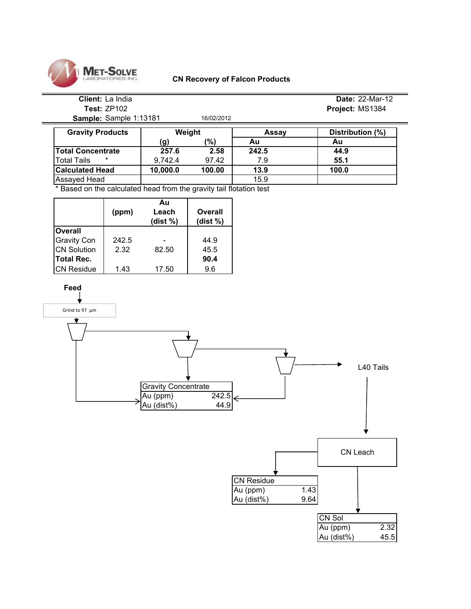![](_page_12_Picture_0.jpeg)

#### **CN Recovery of Falcon Products**

## **Client:** La India **Date:** 22-Mar-12 **Test:** ZP102 **Project:** MS1384

**Sample:** Sample 1:13181 16/02/2012

| <b>Gravity Products</b>  | Weight   |        | Assay | Distribution (%) |
|--------------------------|----------|--------|-------|------------------|
|                          | (g)      | (%)    | Au    | Au               |
| <b>Total Concentrate</b> | 257.6    | 2.58   | 242.5 | 44.9             |
| $\ast$<br>Total Tails    | 9.742.4  | 97.42  | 7.9   | 55.1             |
| <b>Calculated Head</b>   | 10,000.0 | 100.00 | 13.9  | 100.0            |
| Assayed Head             |          |        | 15.9  |                  |

\* Based on the calculated head from the gravity tail flotation test

|                    | (ppm) | Au<br>Leach<br>(dist $%$ ) | Overall<br>(dist $%$ ) |
|--------------------|-------|----------------------------|------------------------|
| <b>Overall</b>     |       |                            |                        |
| <b>Gravity Con</b> | 242.5 |                            | 44.9                   |
| <b>CN Solution</b> | 2.32  | 82.50                      | 45.5                   |
| Total Rec.         |       |                            | 90.4                   |
| <b>CN Residue</b>  | 1.43  | 17.50                      | 9.6                    |

![](_page_12_Figure_7.jpeg)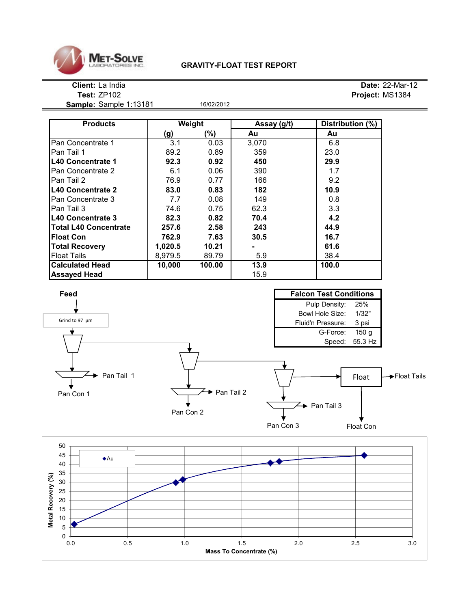![](_page_13_Picture_0.jpeg)

## **GRAVITY-FLOAT TEST REPORT**

**Sample:** Sample 1:13181 16/02/2012

| <b>Products</b>              |         | Weight | Assay (g/t) | Distribution (%) |
|------------------------------|---------|--------|-------------|------------------|
|                              | (g)     | (%)    | Au          | Au               |
| Pan Concentrate 1            | 3.1     | 0.03   | 3,070       | 6.8              |
| Pan Tail 1                   | 89.2    | 0.89   | 359         | 23.0             |
| <b>L40 Concentrate 1</b>     | 92.3    | 0.92   | 450         | 29.9             |
| Pan Concentrate 2            | 6.1     | 0.06   | 390         | 1.7              |
| Pan Tail 2                   | 76.9    | 0.77   | 166         | 9.2              |
| <b>IL40 Concentrate 2</b>    | 83.0    | 0.83   | 182         | 10.9             |
| Pan Concentrate 3            | 7.7     | 0.08   | 149         | 0.8              |
| Pan Tail 3                   | 74.6    | 0.75   | 62.3        | 3.3              |
| <b>IL40 Concentrate 3</b>    | 82.3    | 0.82   | 70.4        | 4.2              |
| <b>Total L40 Concentrate</b> | 257.6   | 2.58   | 243         | 44.9             |
| <b>Float Con</b>             | 762.9   | 7.63   | 30.5        | 16.7             |
| <b>Total Recovery</b>        | 1,020.5 | 10.21  |             | 61.6             |
| <b>Float Tails</b>           | 8,979.5 | 89.79  | 5.9         | 38.4             |
| <b>Calculated Head</b>       | 10,000  | 100.00 | 13.9        | 100.0            |
| <b>Assayed Head</b>          |         |        | 15.9        |                  |

![](_page_13_Figure_6.jpeg)

![](_page_13_Figure_7.jpeg)

**Client:** La India **Date:** 22-Mar-12 **Test:** ZP102 **Project:** MS1384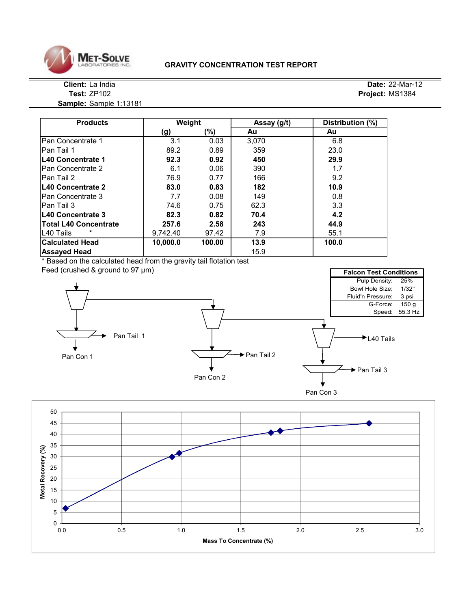![](_page_14_Picture_0.jpeg)

#### **GRAVITY CONCENTRATION TEST REPORT**

**Sample:** Sample 1:13181

| <b>Products</b>              | Weight   |        | Assay (g/t) | Distribution (%) |
|------------------------------|----------|--------|-------------|------------------|
|                              | (g)      | (%)    | Au          | Au               |
| Pan Concentrate 1            | 3.1      | 0.03   | 3,070       | 6.8              |
| Pan Tail 1                   | 89.2     | 0.89   | 359         | 23.0             |
| L40 Concentrate 1            | 92.3     | 0.92   | 450         | 29.9             |
| Pan Concentrate 2            | 6.1      | 0.06   | 390         | 1.7              |
| lPan Tail 2                  | 76.9     | 0.77   | 166         | 9.2              |
| L40 Concentrate 2            | 83.0     | 0.83   | 182         | 10.9             |
| Pan Concentrate 3            | 7.7      | 0.08   | 149         | 0.8              |
| Pan Tail 3                   | 74.6     | 0.75   | 62.3        | 3.3              |
| L40 Concentrate 3            | 82.3     | 0.82   | 70.4        | 4.2              |
| <b>Total L40 Concentrate</b> | 257.6    | 2.58   | 243         | 44.9             |
| L <sub>40</sub> Tails        | 9,742.40 | 97.42  | 7.9         | 55.1             |
| <b>Calculated Head</b>       | 10,000.0 | 100.00 | 13.9        | 100.0            |
| <b>Assayed Head</b>          |          |        | 15.9        |                  |

\* Based on the calculated head from the gravity tail flotation test

![](_page_14_Figure_6.jpeg)

![](_page_14_Figure_7.jpeg)

**Client:** La India **Date:** 22-Mar-12 **Test:** ZP102 **Project:** MS1384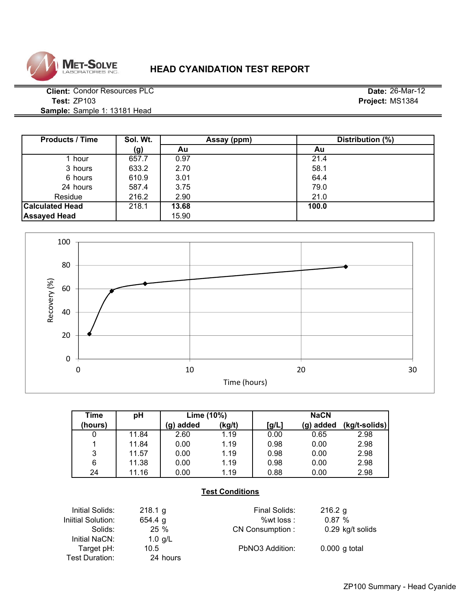![](_page_15_Picture_0.jpeg)

## **HEAD CYANIDATION TEST REPORT**

**Client:** Condor Resources PLC **Date:** 26-Mar-12 **Test:** ZP103 **Project:** MS1384 **Sample:** Sample 1: 13181 Head

| <b>Products / Time</b> | Sol. Wt. | Assay (ppm) | Distribution (%) |
|------------------------|----------|-------------|------------------|
|                        | (g)      | Au          | Au               |
| l hour                 | 657.7    | 0.97        | 21.4             |
| 3 hours                | 633.2    | 2.70        | 58.1             |
| 6 hours                | 610.9    | 3.01        | 64.4             |
| 24 hours               | 587.4    | 3.75        | 79.0             |
| Residue                | 216.2    | 2.90        | 21.0             |
| <b>Calculated Head</b> | 218.1    | 13.68       | 100.0            |
| <b>Assayed Head</b>    |          | 15.90       |                  |

![](_page_15_Figure_5.jpeg)

| Time    | pH    | Lime (10%) |        |       | <b>NaCN</b> |               |  |
|---------|-------|------------|--------|-------|-------------|---------------|--|
| (hours) |       | (g) added  | (kg/t) | [g/L] | (g) added   | (kg/t-solids) |  |
|         | 11.84 | 2.60       | 1.19   | 0.00  | 0.65        | 2.98          |  |
|         | 11.84 | 0.00       | 1.19   | 0.98  | 0.00        | 2.98          |  |
| 3       | 11.57 | 0.00       | 1.19   | 0.98  | 0.00        | 2.98          |  |
| 6       | 11.38 | 0.00       | 1.19   | 0.98  | 0.00        | 2.98          |  |
| 24      | 11.16 | 0.00       | 1.19   | 0.88  | 0.00        | 2.98          |  |

## **Test Conditions**

| Initial Solids:    | 218.1 g   | Final Solids:   | 216.2 g          |
|--------------------|-----------|-----------------|------------------|
| Iniitial Solution: | 654.4 g   | % wt loss :     | 0.87%            |
| Solids:            | 25%       | CN Consumption: | 0.29 kg/t solids |
| Initial NaCN:      | 1.0 $g/L$ |                 |                  |
| Target pH:         | 10.5      | PbNO3 Addition: | $0.000$ g total  |
| Test Duration:     | 24 hours  |                 |                  |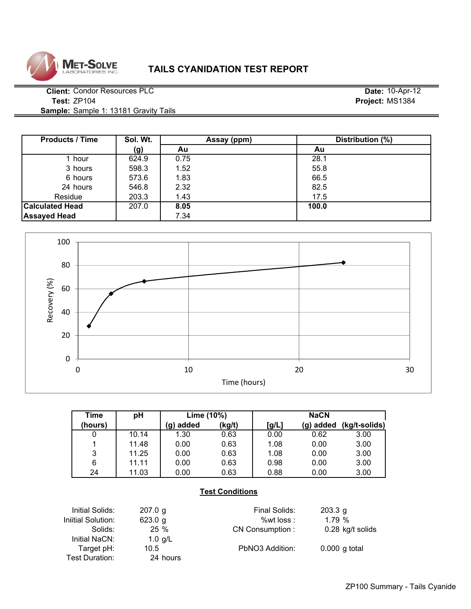![](_page_16_Picture_0.jpeg)

## **TAILS CYANIDATION TEST REPORT**

**Client:** Condor Resources PLC **Date:** 10-Apr-12 **Test:** ZP104 **Project:** MS1384 **Sample:** Sample 1: 13181 Gravity Tails

**Assayed Head** 7.34

**Sol. Wt. (g) Au Au** 1 hour | 624.9 | 0.75 28.1 3 hours 598.3 1.52 55.8 #DIV/0! #DIV/0! 6 hours 573.6 1.83 66.5 #DIV/0! #DIV/0! 24 hours 546.8 2.32 82.5 #DIV/0! #DIV/0! 203.3 **1.43** 1.43 17.5 **Calculated Head**  $\begin{array}{|c|c|c|c|c|} \hline \end{array}$  207.0 **8.05 100.0** Products / Time Sol. Wt. Assay (ppm) Distribution (%) Residue

![](_page_16_Figure_5.jpeg)

| Time    | pH    | Lime (10%) |        |       | <b>NaCN</b> |               |
|---------|-------|------------|--------|-------|-------------|---------------|
| (hours) |       | added<br>g | (kg/t) | [g/L] | (g) added   | (kg/t-solids) |
| 0       | 10.14 | 1.30       | 0.63   | 0.00  | 0.62        | 3.00          |
|         | 11.48 | 0.00       | 0.63   | 1.08  | 0.00        | 3.00          |
| 3       | 11.25 | 0.00       | 0.63   | 1.08  | 0.00        | 3.00          |
| 6       | 11.11 | 0.00       | 0.63   | 0.98  | 0.00        | 3.00          |
| 24      | 11.03 | 0.00       | 0.63   | 0.88  | 0.00        | 3.00          |

## **Test Conditions**

Initial Solids: 207.0 g Final Solids: 203.3 g Iniitial Solution: 623.0 g 623.0 mitial Solution: 623.0 g Solids: 25 % CN Consumption : 0.28 kg/t solids Initial NaCN: 1.0 g/L Target pH: 10.5 PbNO3 Addition: 0.000 g total Test Duration: 24 hours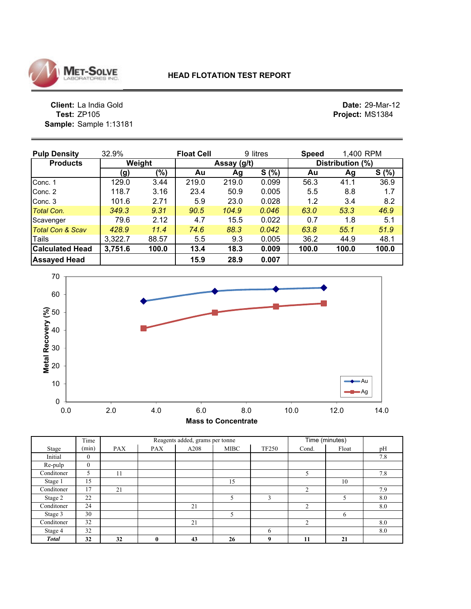![](_page_17_Picture_0.jpeg)

**Client:** La India Gold **Date:** 29-Mar-12<br> **Project:** MS1384 **Sample:** Sample 1:13181

**Project:** MS1384

| <b>Pulp Density</b>         | 32.9%   | <b>Float Cell</b> |             |       | 9 litres |       | 1,400 RPM<br><b>Speed</b> |       |  |
|-----------------------------|---------|-------------------|-------------|-------|----------|-------|---------------------------|-------|--|
| <b>Products</b>             |         | Weight            | Assay (g/t) |       |          |       | Distribution (%)          |       |  |
|                             | (g)     | (%)               | Au          | Ag    | S(%)     | Au    | Ag                        | S(% ) |  |
| Conc. 1                     | 129.0   | 3.44              | 219.0       | 219.0 | 0.099    | 56.3  | 41.1                      | 36.9  |  |
| Conc. 2                     | 118.7   | 3.16              | 23.4        | 50.9  | 0.005    | 5.5   | 8.8                       | 1.7   |  |
| Conc. 3                     | 101.6   | 2.71              | 5.9         | 23.0  | 0.028    | 1.2   | 3.4                       | 8.2   |  |
| Total Con.                  | 349.3   | 9.31              | 90.5        | 104.9 | 0.046    | 63.0  | 53.3                      | 46.9  |  |
| Scavenger                   | 79.6    | 2.12              | 4.7         | 15.5  | 0.022    | 0.7   | 1.8                       | 5.1   |  |
| <b>Total Con &amp; Scav</b> | 428.9   | 11.4              | 74.6        | 88.3  | 0.042    | 63.8  | 55.1                      | 51.9  |  |
| Tails                       | 3,322.7 | 88.57             | 5.5         | 9.3   | 0.005    | 36.2  | 44.9                      | 48.1  |  |
| <b>Calculated Head</b>      | 3,751.6 | 100.0             | 13.4        | 18.3  | 0.009    | 100.0 | 100.0                     | 100.0 |  |
| <b>Assayed Head</b>         |         |                   | 15.9        | 28.9  | 0.007    |       |                           |       |  |

![](_page_17_Figure_5.jpeg)

|              | Time         |            |            | Reagents added, grams per tonne |             |              | Time (minutes) |       |     |
|--------------|--------------|------------|------------|---------------------------------|-------------|--------------|----------------|-------|-----|
| Stage        | (min)        | <b>PAX</b> | <b>PAX</b> | A208                            | <b>MIBC</b> | <b>TF250</b> | Cond.          | Float | pH  |
| Initial      | $\theta$     |            |            |                                 |             |              |                |       | 7.8 |
| Re-pulp      | $\mathbf{0}$ |            |            |                                 |             |              |                |       |     |
| Conditoner   | 5            | 11         |            |                                 |             |              | 5              |       | 7.8 |
| Stage 1      | 15           |            |            |                                 | 15          |              |                | 10    |     |
| Conditoner   | 17           | 21         |            |                                 |             |              | $\overline{2}$ |       | 7.9 |
| Stage 2      | 22           |            |            |                                 | 5           | 3            |                |       | 8.0 |
| Conditoner   | 24           |            |            | 21                              |             |              | 2              |       | 8.0 |
| Stage 3      | 30           |            |            |                                 | 5           |              |                | 6     |     |
| Conditoner   | 32           |            |            | 21                              |             |              | $\overline{2}$ |       | 8.0 |
| Stage 4      | 32           |            |            |                                 |             | 6            |                |       | 8.0 |
| <b>Total</b> | 32           | 32         | 0          | 43                              | 26          | 9            | 11             | 21    |     |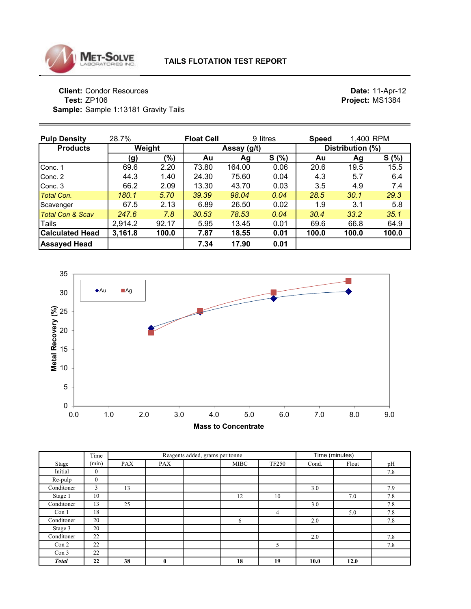![](_page_18_Picture_0.jpeg)

**Client:** Condor Resources **Date:** 11-Apr-12 **Test:** ZP106 **Project:** MS1384 **Sample:** Sample 1:13181 Gravity Tails

| <b>Pulp Density</b>         | 28.7%   | <b>Float Cell</b><br>9 litres |       |             | <b>Speed</b> | 1,400 RPM |                  |       |  |
|-----------------------------|---------|-------------------------------|-------|-------------|--------------|-----------|------------------|-------|--|
| <b>Products</b>             |         | Weight                        |       | Assay (g/t) |              |           | Distribution (%) |       |  |
|                             | (g)     | (%)                           | Au    | Ag          | S(%)         | Au        | Ag               | S(% ) |  |
| Conc. 1                     | 69.6    | 2.20                          | 73.80 | 164.00      | 0.06         | 20.6      | 19.5             | 15.5  |  |
| Conc. 2                     | 44.3    | 1.40                          | 24.30 | 75.60       | 0.04         | 4.3       | 5.7              | 6.4   |  |
| Conc. 3                     | 66.2    | 2.09                          | 13.30 | 43.70       | 0.03         | 3.5       | 4.9              | 7.4   |  |
| <b>Total Con.</b>           | 180.1   | 5.70                          | 39.39 | 98.04       | 0.04         | 28.5      | 30.1             | 29.3  |  |
| Scavenger                   | 67.5    | 2.13                          | 6.89  | 26.50       | 0.02         | 1.9       | 3.1              | 5.8   |  |
| <b>Total Con &amp; Scav</b> | 247.6   | 7.8                           | 30.53 | 78.53       | 0.04         | 30.4      | 33.2             | 35.1  |  |
| Tails                       | 2,914.2 | 92.17                         | 5.95  | 13.45       | 0.01         | 69.6      | 66.8             | 64.9  |  |
| <b>Calculated Head</b>      | 3,161.8 | 100.0                         | 7.87  | 18.55       | 0.01         | 100.0     | 100.0            | 100.0 |  |
| <b>Assayed Head</b>         |         |                               | 7.34  | 17.90       | 0.01         |           |                  |       |  |

![](_page_18_Figure_5.jpeg)

|                  | Time         |            |              | Reagents added, grams per tonne | Time (minutes) |                |       |       |     |
|------------------|--------------|------------|--------------|---------------------------------|----------------|----------------|-------|-------|-----|
| Stage            | (min)        | <b>PAX</b> | <b>PAX</b>   |                                 | <b>MIBC</b>    | <b>TF250</b>   | Cond. | Float | pH  |
| Initial          | $\mathbf{0}$ |            |              |                                 |                |                |       |       | 7.8 |
| Re-pulp          | $\mathbf{0}$ |            |              |                                 |                |                |       |       |     |
| Conditoner       | 3            | 13         |              |                                 |                |                | 3.0   |       | 7.9 |
| Stage 1          | 10           |            |              |                                 | 12             | 10             |       | 7.0   | 7.8 |
| Conditoner       | 13           | 25         |              |                                 |                |                | 3.0   |       | 7.8 |
| Con 1            | 18           |            |              |                                 |                | $\overline{4}$ |       | 5.0   | 7.8 |
| Conditoner       | 20           |            |              |                                 | 6              |                | 2.0   |       | 7.8 |
| Stage 3          | 20           |            |              |                                 |                |                |       |       |     |
| Conditoner       | 22           |            |              |                                 |                |                | 2.0   |       | 7.8 |
| Con 2            | 22           |            |              |                                 |                | 5              |       |       | 7.8 |
| Con <sub>3</sub> | 22           |            |              |                                 |                |                |       |       |     |
| <b>Total</b>     | 22           | 38         | $\mathbf{0}$ |                                 | 18             | 19             | 10.0  | 12.0  |     |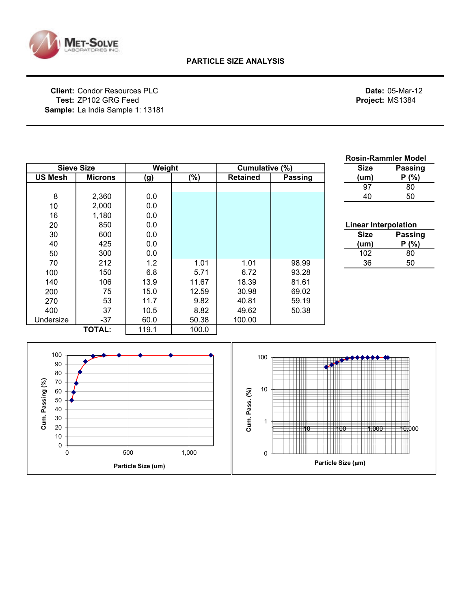![](_page_19_Picture_0.jpeg)

**Client:** Condor Resources PLC **Date:** 05-Mar-12 **Test:** ZP102 GRG Feed **Project:** MS1384 **Sample:** La India Sample 1: 13181

|                                                                               |                   |        |       |                                             |               |                             | <b>Rosin-Rammler Model</b> |
|-------------------------------------------------------------------------------|-------------------|--------|-------|---------------------------------------------|---------------|-----------------------------|----------------------------|
|                                                                               | <b>Sieve Size</b> | Weight |       | Cumulative (%)                              |               | <b>Size</b>                 | Passing                    |
| <b>US Mesh</b>                                                                | <b>Microns</b>    | (g)    | (%)   | <b>Retained</b>                             | Passing       | (um)                        | P(% )                      |
|                                                                               |                   |        |       |                                             |               | 97                          | 80                         |
| 8                                                                             | 2,360             | 0.0    |       |                                             |               | 40                          | 50                         |
| 10                                                                            | 2,000             | 0.0    |       |                                             |               |                             |                            |
| 16                                                                            | 1,180             | 0.0    |       |                                             |               |                             |                            |
| 20                                                                            | 850               | 0.0    |       |                                             |               | <b>Linear Interpolation</b> |                            |
| 30                                                                            | 600               | 0.0    |       |                                             |               | <b>Size</b>                 | Passing                    |
| 40                                                                            | 425               | 0.0    |       |                                             |               | (num)                       | P(% )                      |
| 50                                                                            | 300               | 0.0    |       |                                             |               | 102                         | 80                         |
| 70                                                                            | 212               | 1.2    | 1.01  | 1.01                                        | 98.99         | 36                          | 50                         |
| 100                                                                           | 150               | 6.8    | 5.71  | 6.72                                        | 93.28         |                             |                            |
| 140                                                                           | 106               | 13.9   | 11.67 | 18.39                                       | 81.61         |                             |                            |
| 200                                                                           | 75                | 15.0   | 12.59 | 30.98                                       | 69.02         |                             |                            |
| 270                                                                           | 53                | 11.7   | 9.82  | 40.81                                       | 59.19         |                             |                            |
| 400                                                                           | 37                | 10.5   | 8.82  | 49.62                                       | 50.38         |                             |                            |
| Undersize                                                                     | $-37$             | 60.0   | 50.38 | 100.00                                      |               |                             |                            |
|                                                                               | <b>TOTAL:</b>     | 119.1  | 100.0 |                                             |               |                             |                            |
| 100<br>90<br>80<br>Cum. Passing (%)<br>70<br>60<br>50<br>40<br>30<br>20<br>10 |                   |        |       | 100<br>10<br>Cum. Pass. (%)<br>$\mathbf{1}$ | TП<br>Ш<br>10 | 100<br>1,000                | 10,000                     |
| 0<br>$\mathbf 0$                                                              |                   | 500    | 1,000 | $\mathbf 0$                                 |               |                             |                            |

**Particle Size (**µ**m)**

**Particle Size (um)**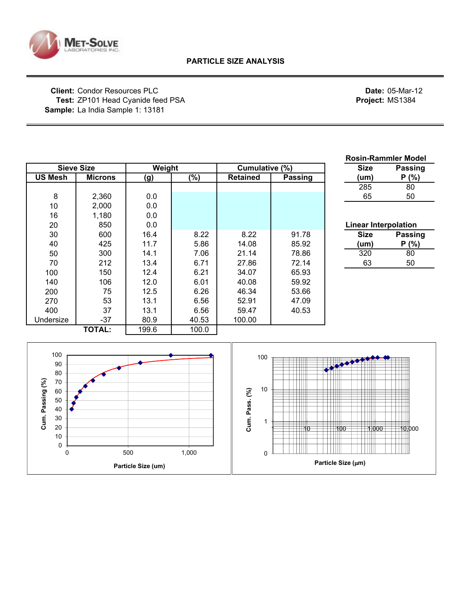![](_page_20_Picture_0.jpeg)

**Client:** Condor Resources PLC **Date:** 05-Mar-12 **Test:** ZP101 Head Cyanide feed PSA **Project:** MS1384 **Sample:** La India Sample 1: 13181

|                |                   |            |        |                 |                | <b>Rosin-Rammler Model</b> |                |
|----------------|-------------------|------------|--------|-----------------|----------------|----------------------------|----------------|
|                | <b>Sieve Size</b> |            | Weight |                 | Cumulative (%) |                            | Passing        |
| <b>US Mesh</b> | <b>Microns</b>    | <u>(g)</u> | $(\%)$ | <b>Retained</b> | <b>Passing</b> | (um)                       | P(% )          |
|                |                   |            |        |                 |                | 285                        | 80             |
| 8              | 2,360             | 0.0        |        |                 |                | 65                         | 50             |
| 10             | 2,000             | 0.0        |        |                 |                |                            |                |
| 16             | 1,180             | 0.0        |        |                 |                |                            |                |
| 20             | 850               | 0.0        |        |                 |                | Linear Interpolation       |                |
| 30             | 600               | 16.4       | 8.22   | 8.22            | 91.78          | <b>Size</b>                | <b>Passing</b> |
| 40             | 425               | 11.7       | 5.86   | 14.08           | 85.92          | (um)                       | P(% )          |
| 50             | 300               | 14.1       | 7.06   | 21.14           | 78.86          | 320                        | 80             |
| 70             | 212               | 13.4       | 6.71   | 27.86           | 72.14          | 63                         | 50             |
| 100            | 150               | 12.4       | 6.21   | 34.07           | 65.93          |                            |                |
| 140            | 106               | 12.0       | 6.01   | 40.08           | 59.92          |                            |                |
| 200            | 75                | 12.5       | 6.26   | 46.34           | 53.66          |                            |                |
| 270            | 53                | 13.1       | 6.56   | 52.91           | 47.09          |                            |                |
| 400            | 37                | 13.1       | 6.56   | 59.47           | 40.53          |                            |                |
| Undersize      | $-37$             | 80.9       | 40.53  | 100.00          |                |                            |                |
|                | <b>TOTAL:</b>     | 199.6      | 100.0  |                 |                |                            |                |
|                |                   |            |        |                 |                |                            |                |

![](_page_20_Figure_5.jpeg)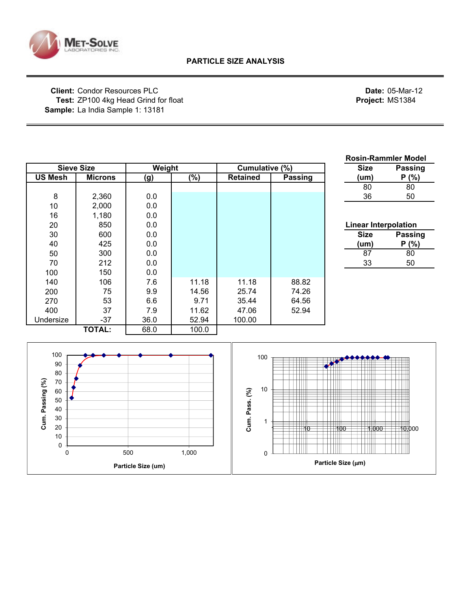![](_page_21_Picture_0.jpeg)

**Client:** Condor Resources PLC **Date:** 05-Mar-12 Test: ZP100 4kg Head Grind for float **Project:** MS1384 **Sample:** La India Sample 1: 13181

**Particle Size (um)**

|                                                                                   |                |                           |                 |                                  |         | <b>Rosin-Rammler Model</b>         |
|-----------------------------------------------------------------------------------|----------------|---------------------------|-----------------|----------------------------------|---------|------------------------------------|
| <b>Sieve Size</b>                                                                 |                | Weight                    |                 | Cumulative (%)                   |         | <b>Size</b><br>Passing             |
| <b>US Mesh</b>                                                                    | <b>Microns</b> | (g)                       | $\sqrt{(0, 0)}$ | <b>Retained</b>                  | Passing | P(% )<br>(um)                      |
|                                                                                   |                |                           |                 |                                  |         | 80<br>80                           |
| $\bf 8$                                                                           | 2,360          | 0.0                       |                 |                                  |         | 36<br>50                           |
| 10                                                                                | 2,000          | 0.0                       |                 |                                  |         |                                    |
| 16                                                                                | 1,180          | 0.0                       |                 |                                  |         |                                    |
| 20                                                                                | 850            | 0.0                       |                 |                                  |         | <b>Linear Interpolation</b>        |
| 30                                                                                | 600            | 0.0                       |                 |                                  |         | <b>Size</b><br>Passing             |
| 40                                                                                | 425            | 0.0                       |                 |                                  |         | P(% )<br>(um)                      |
| 50                                                                                | 300            | 0.0                       |                 |                                  |         | $\overline{87}$<br>$\overline{80}$ |
| 70                                                                                | 212            | 0.0                       |                 |                                  |         | 33<br>50                           |
| 100                                                                               | 150            | 0.0                       |                 |                                  |         |                                    |
| 140                                                                               | 106            | 7.6                       | 11.18           | 11.18                            | 88.82   |                                    |
| 200                                                                               | 75             | 9.9                       | 14.56           | 25.74                            | 74.26   |                                    |
| 270                                                                               | 53             | 6.6                       | 9.71            | 35.44                            | 64.56   |                                    |
| 400                                                                               | 37             | 7.9                       | 11.62           | 47.06                            | 52.94   |                                    |
| Undersize                                                                         | $-37$          | 36.0                      | 52.94           | 100.00                           |         |                                    |
|                                                                                   | <b>TOTAL:</b>  | 68.0                      | 100.0           |                                  |         |                                    |
| 100<br>90<br>80<br>Cum. Passing (%)<br>$70\,$<br>60<br>50<br>40<br>30<br>20<br>10 |                |                           |                 | 100<br>10<br>Cum. Pass. (%)<br>1 | 10      | 10,000<br>100<br>1,000             |
| 0<br>$\mathbf 0$                                                                  |                | 500<br>Darticle Size (um) | 1,000           | $\mathbf 0$                      |         | Particle Size (um)                 |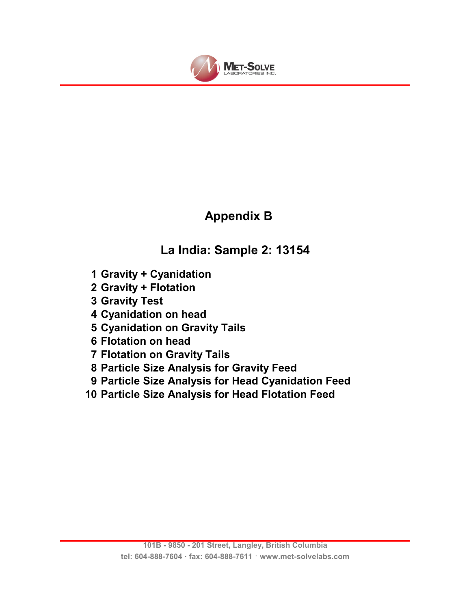![](_page_22_Picture_0.jpeg)

# **Appendix B**

# **La India: Sample 2: 13154**

- **1 Gravity + Cyanidation**
- **2 Gravity + Flotation**
- **3 Gravity Test**
- **4 Cyanidation on head**
- **5 Cyanidation on Gravity Tails**
- **6 Flotation on head**
- **7 Flotation on Gravity Tails**
- **8 Particle Size Analysis for Gravity Feed**
- **9 Particle Size Analysis for Head Cyanidation Feed**
- **10 Particle Size Analysis for Head Flotation Feed**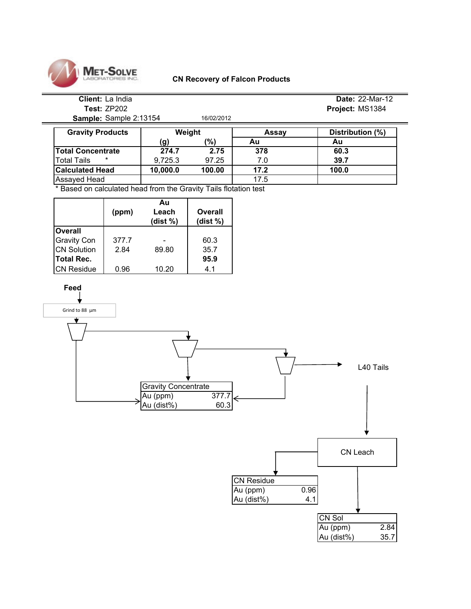![](_page_23_Picture_0.jpeg)

#### **CN Recovery of Falcon Products**

# **Client:** La India **Date:** 22-Mar-12

**Sample:** Sample 2:13154 16/02/2012

**Test:** ZP202 **Project:** MS1384

| <b>Gravity Products</b>      | Weight   |        | Assav | Distribution (%) |
|------------------------------|----------|--------|-------|------------------|
|                              | (g)      | '%)    | Au    | Au               |
| Total Concentrate            | 274.7    | 2.75   | 378   | 60.3             |
| $\ast$<br><b>Total Tails</b> | 9.725.3  | 97.25  | 7.0   | 39.7             |
| <b>Calculated Head</b>       | 10,000.0 | 100.00 | 17.2  | 100.0            |
| Assayed Head                 |          |        | 17.5  |                  |

\* Based on calculated head from the Gravity Tails flotation test

|                    | (ppm) | Au<br>Leach<br>(dist %) | Overall<br>(dist %) |
|--------------------|-------|-------------------------|---------------------|
| <b>Overall</b>     |       |                         |                     |
| <b>Gravity Con</b> | 377.7 |                         | 60.3                |
| <b>CN Solution</b> | 2.84  | 89.80                   | 35.7                |
| Total Rec.         |       |                         | 95.9                |
| <b>CN Residue</b>  | 0.96  | 10.20                   | 4.1                 |

![](_page_23_Figure_8.jpeg)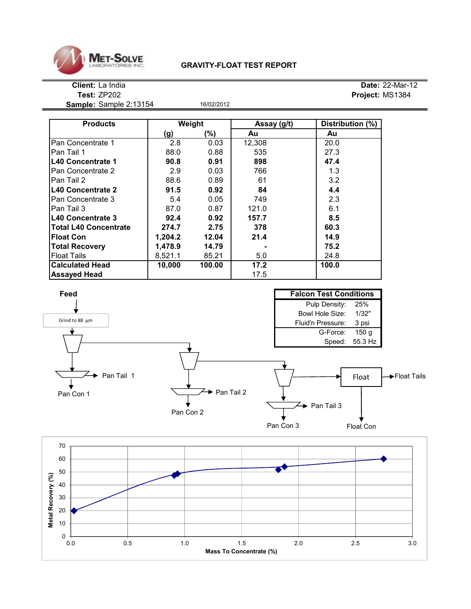![](_page_24_Picture_0.jpeg)

## **GRAVITY-FLOAT TEST REPORT**

**Sample:** Sample 2:13154 16/02/2012

**Client:** La India **Date:** 22-Mar-12 **Test:** ZP202 **Project:** MS1384

| <b>Products</b>              |         | Weight | Assay (g/t) | Distribution (%) |
|------------------------------|---------|--------|-------------|------------------|
|                              | (g)     | (%)    | Au          | Au               |
| Pan Concentrate 1            | 2.8     | 0.03   | 12,308      | 20.0             |
| lPan Tail 1                  | 88.0    | 0.88   | 535         | 27.3             |
| <b>L40 Concentrate 1</b>     | 90.8    | 0.91   | 898         | 47.4             |
| lPan Concentrate 2           | 2.9     | 0.03   | 766         | 1.3              |
| Pan Tail 2                   | 88.6    | 0.89   | 61          | 3.2              |
| <b>L40 Concentrate 2</b>     | 91.5    | 0.92   | 84          | 4.4              |
| lPan Concentrate 3           | 5.4     | 0.05   | 749         | 2.3              |
| l Pan Tail 3                 | 87.0    | 0.87   | 121.0       | 6.1              |
| <b>IL40 Concentrate 3</b>    | 92.4    | 0.92   | 157.7       | 8.5              |
| <b>Total L40 Concentrate</b> | 274.7   | 2.75   | 378         | 60.3             |
| <b>Float Con</b>             | 1,204.2 | 12.04  | 21.4        | 14.9             |
| <b>Total Recovery</b>        | 1,478.9 | 14.79  |             | 75.2             |
| <b>Float Tails</b>           | 8,521.1 | 85.21  | 5.0         | 24.8             |
| <b>Calculated Head</b>       | 10,000  | 100.00 | 17.2        | 100.0            |
| <b>Assayed Head</b>          |         |        | 17.5        |                  |

![](_page_24_Figure_7.jpeg)

![](_page_24_Figure_8.jpeg)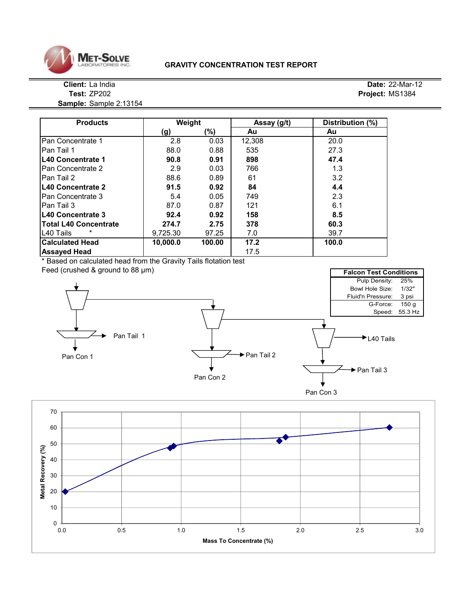![](_page_25_Picture_0.jpeg)

#### **GRAVITY CONCENTRATION TEST REPORT**

#### **Client:** La India **Date:** 22-Mar-12 **Test:** ZP202 **Project:** MS1384

**Sample:** Sample 2:13154

| <b>Products</b>              | Weight   |        | Assay (g/t) | Distribution (%) |
|------------------------------|----------|--------|-------------|------------------|
|                              | (g)      | (%)    | Au          | Au               |
| Pan Concentrate 1            | 2.8      | 0.03   | 12,308      | 20.0             |
| lPan Tail 1                  | 88.0     | 0.88   | 535         | 27.3             |
| L40 Concentrate 1            | 90.8     | 0.91   | 898         | 47.4             |
| Pan Concentrate 2            | 2.9      | 0.03   | 766         | 1.3              |
| Pan Tail 2                   | 88.6     | 0.89   | 61          | 3.2              |
| L40 Concentrate 2            | 91.5     | 0.92   | 84          | 4.4              |
| Pan Concentrate 3            | 5.4      | 0.05   | 749         | 2.3              |
| Pan Tail 3                   | 87.0     | 0.87   | 121         | 6.1              |
| L40 Concentrate 3            | 92.4     | 0.92   | 158         | 8.5              |
| <b>Total L40 Concentrate</b> | 274.7    | 2.75   | 378         | 60.3             |
| L <sub>40</sub> Tails        | 9,725.30 | 97.25  | 7.0         | 39.7             |
| <b>Calculated Head</b>       | 10,000.0 | 100.00 | 17.2        | 100.0            |
| <b>Assayed Head</b>          |          |        | 17.5        |                  |

\* Based on calculated head from the Gravity Tails flotation test

![](_page_25_Figure_6.jpeg)

![](_page_25_Figure_7.jpeg)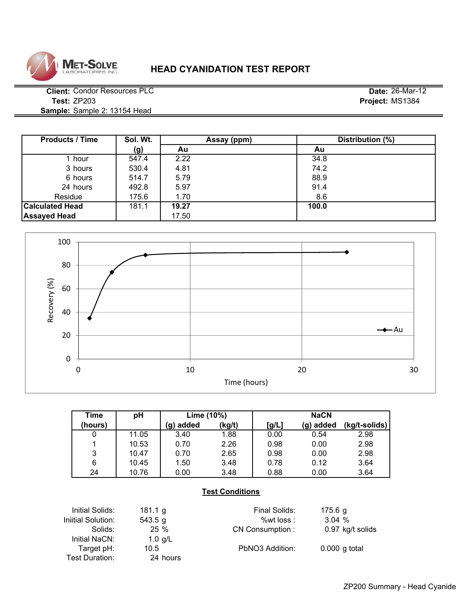![](_page_26_Picture_0.jpeg)

## **HEAD CYANIDATION TEST REPORT**

**Client:** Condor Resources PLC **Date:** 26-Mar-12 **Test:** ZP203 **Project:** MS1384 **Sample:** Sample 2: 13154 Head

| <b>Products / Time</b> | Sol. Wt. | Assay (ppm) | Distribution (%) |
|------------------------|----------|-------------|------------------|
|                        | (g)      | Au          | Au               |
| hour                   | 547.4    | 2.22        | 34.8             |
| 3 hours                | 530.4    | 4.81        | 74.2             |
| 6 hours                | 514.7    | 5.79        | 88.9             |
| 24 hours               | 492.8    | 5.97        | 91.4             |
| Residue                | 175.6    | 1.70        | 8.6              |
| <b>Calculated Head</b> | 181.1    | 19.27       | 100.0            |
| <b>Assayed Head</b>    |          | 17.50       |                  |

![](_page_26_Figure_5.jpeg)

| Time    | рH    | Lime (10%) |        | <b>NaCN</b> |           |               |
|---------|-------|------------|--------|-------------|-----------|---------------|
| (hours) |       | (g) added  | (kg/t) | [g/L]       | (g) added | (kg/t-solids) |
| 0       | 11.05 | 3.40       | 1.88   | 0.00        | 0.54      | 2.98          |
|         | 10.53 | 0.70       | 2.26   | 0.98        | 0.00      | 2.98          |
| 3       | 10.47 | 0.70       | 2.65   | 0.98        | 0.00      | 2.98          |
| 6       | 10.45 | 1.50       | 3.48   | 0.78        | 0.12      | 3.64          |
| 24      | 10.76 | 0.00       | 3.48   | 0.88        | 0.00      | 3.64          |

## **Test Conditions**

| Initial Solids:    | 181.1 g  | Final Solids:   | 175.6 g          |
|--------------------|----------|-----------------|------------------|
| Iniitial Solution: | 543.5 g  | % wt loss :     | 3.04%            |
| Solids:            | $25\%$   | CN Consumption: | 0.97 kg/t solids |
| Initial NaCN:      | 1.0 g/L  |                 |                  |
| Target pH:         | 10.5     | PbNO3 Addition: | $0.000$ g total  |
| Test Duration:     | 24 hours |                 |                  |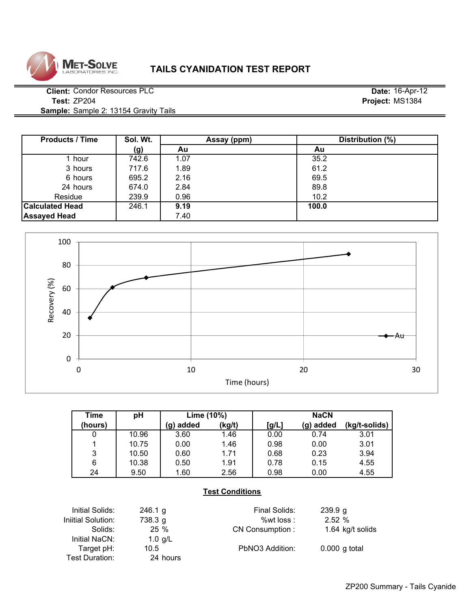![](_page_27_Picture_0.jpeg)

## **TAILS CYANIDATION TEST REPORT**

**Client:** Condor Resources PLC **Date:** 16-Apr-12 **Test:** ZP204 **Project:** MS1384 **Sample:** Sample 2: 13154 Gravity Tails

**Sol. Wt. (g) Au Au** 1 hour | 742.6 | 1.07 | 35.2 3 hours | 717.6 | 1.89 | 61.2 6 hours | 695.2 | 2.16 | 69.5 24 hours 674.0 2.84 89.8 #DIV/0! #DIV/0! 239.9 **0.96 10.2 10.2 10.2 Calculated Head**  $\begin{array}{|c|c|c|c|c|} \hline \end{array}$  246.1 **9.19 100.0 Assayed Head 1 12.40** Products / Time | Sol. Wt. | Assay (ppm) | Distribution (%) Residue

![](_page_27_Figure_5.jpeg)

| Time    | рH    | Lime (10%)  |        | <b>NaCN</b> |           |               |
|---------|-------|-------------|--------|-------------|-----------|---------------|
| (hours) |       | added<br>g) | (kg/t) | [g/L]       | (g) added | (kg/t-solids) |
| 0       | 10.96 | 3.60        | 1.46   | 0.00        | 0.74      | 3.01          |
|         | 10.75 | 0.00        | 1.46   | 0.98        | 0.00      | 3.01          |
| 3       | 10.50 | 0.60        | 1.71   | 0.68        | 0.23      | 3.94          |
| 6       | 10.38 | 0.50        | 1.91   | 0.78        | 0.15      | 4.55          |
| 24      | 9.50  | 1.60        | 2.56   | 0.98        | 0.00      | 4.55          |

## **Test Conditions**

| Initial Solids:    | 246.1 g   | Final Solids:   | 239.9 g          |
|--------------------|-----------|-----------------|------------------|
| Iniitial Solution: | 738.3 g   | %wt loss :      | 2.52%            |
| Solids:            | $25\%$    | CN Consumption: | 1.64 kg/t solids |
| Initial NaCN:      | 1.0 $g/L$ |                 |                  |
| Target pH:         | 10.5      | PbNO3 Addition: | $0.000$ g total  |
| Test Duration:     | 24 hours  |                 |                  |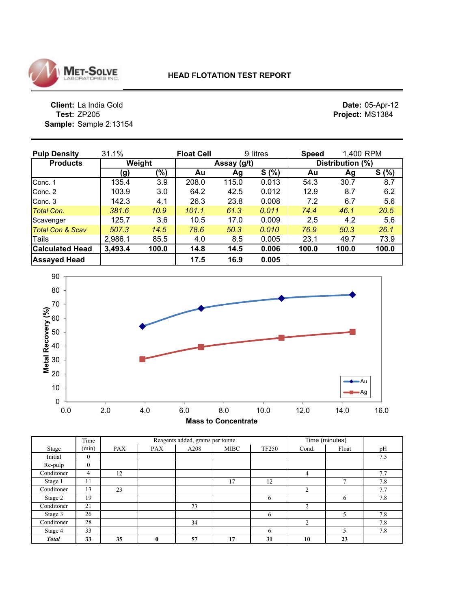![](_page_28_Picture_0.jpeg)

**Client:** La India Gold<br>**Test:** ZP205 **Sample:** Sample 2:13154 **Date: 05-Apr-12<br><b>Project:** MS1384

| <b>Pulp Density</b>    | 31.1%      |       | <b>Float Cell</b> |             | 9 litres | <b>Speed</b> | 1,400 RPM        |       |  |
|------------------------|------------|-------|-------------------|-------------|----------|--------------|------------------|-------|--|
| <b>Products</b>        | Weight     |       |                   | Assay (g/t) |          |              | Distribution (%) |       |  |
|                        | <u>(g)</u> | (%)   | Au                | Ag          | S(% )    | Au           | Ag               | S(% ) |  |
| Conc. 1                | 135.4      | 3.9   | 208.0             | 115.0       | 0.013    | 54.3         | 30.7             | 8.7   |  |
| Conc. 2                | 103.9      | 3.0   | 64.2              | 42.5        | 0.012    | 12.9         | 8.7              | 6.2   |  |
| Conc. 3                | 142.3      | 4.1   | 26.3              | 23.8        | 0.008    | 7.2          | 6.7              | 5.6   |  |
| Total Con.             | 381.6      | 10.9  | 101.1             | 61.3        | 0.011    | 74.4         | 46.1             | 20.5  |  |
| Scavenger              | 125.7      | 3.6   | 10.5              | 17.0        | 0.009    | 2.5          | 4.2              | 5.6   |  |
| Total Con & Scav       | 507.3      | 14.5  | 78.6              | 50.3        | 0.010    | 76.9         | 50.3             | 26.1  |  |
| Tails                  | 2,986.1    | 85.5  | 4.0               | 8.5         | 0.005    | 23.1         | 49.7             | 73.9  |  |
| <b>Calculated Head</b> | 3,493.4    | 100.0 | 14.8              | 14.5        | 0.006    | 100.0        | 100.0            | 100.0 |  |
| <b>Assayed Head</b>    |            |       | 17.5              | 16.9        | 0.005    |              |                  |       |  |

![](_page_28_Figure_5.jpeg)

|              | Time           |            |              | Reagents added, grams per tonne |             | Time (minutes) |                |              |     |
|--------------|----------------|------------|--------------|---------------------------------|-------------|----------------|----------------|--------------|-----|
| Stage        | (min)          | <b>PAX</b> | <b>PAX</b>   | A208                            | <b>MIBC</b> | <b>TF250</b>   | Cond.          | Float        | pH  |
| Initial      | $\mathbf{0}$   |            |              |                                 |             |                |                |              | 7.5 |
| Re-pulp      | $\mathbf{0}$   |            |              |                                 |             |                |                |              |     |
| Conditoner   | $\overline{4}$ | 12         |              |                                 |             |                | 4              |              | 7.7 |
| Stage 1      | 11             |            |              |                                 | 17          | 12             |                | $\mathbf{r}$ | 7.8 |
| Conditoner   | 13             | 23         |              |                                 |             |                | $\overline{2}$ |              | 7.7 |
| Stage 2      | 19             |            |              |                                 |             | 6              |                | 6            | 7.8 |
| Conditoner   | 21             |            |              | 23                              |             |                | $\overline{2}$ |              |     |
| Stage 3      | 26             |            |              |                                 |             | 6              |                |              | 7.8 |
| Conditoner   | 28             |            |              | 34                              |             |                | $\overline{2}$ |              | 7.8 |
| Stage 4      | 33             |            |              |                                 |             | 6              |                |              | 7.8 |
| <b>Total</b> | 33             | 35         | $\mathbf{0}$ | 57                              | 17          | 31             | 10             | 23           |     |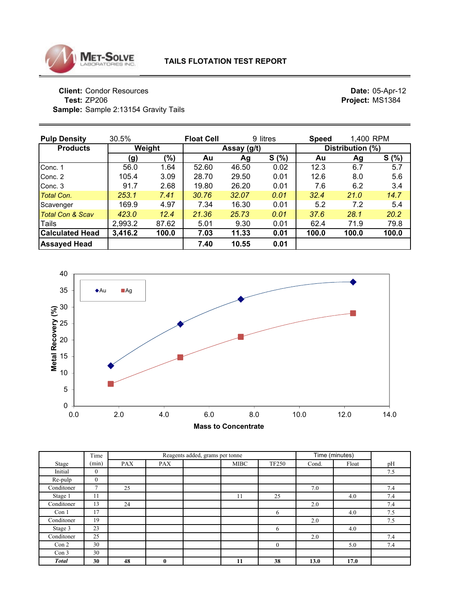![](_page_29_Picture_0.jpeg)

**Client: Condor Resources The South Section 1 Section 2 and Section 2 and Section 2 and Section 2 and Section 2 and Section 2 and Section 2<br>
<b>Project:** MS1384<br> **Project:** MS1384 **Sample:** Sample 2:13154 Gravity Tails

| <b>Pulp Density</b>         | 30.5%   |        | <b>Float Cell</b> |             | 9 litres | <b>Speed</b> | 1,400 RPM        |       |  |  |  |  |
|-----------------------------|---------|--------|-------------------|-------------|----------|--------------|------------------|-------|--|--|--|--|
| <b>Products</b>             |         | Weight |                   | Assay (g/t) |          |              | Distribution (%) |       |  |  |  |  |
|                             | (g)     | (%)    | Au                | Ag          | S(% )    | Au           | Ag               | S(% ) |  |  |  |  |
| Conc. 1                     | 56.0    | 1.64   | 52.60             | 46.50       | 0.02     | 12.3         | 6.7              | 5.7   |  |  |  |  |
| Conc. 2                     | 105.4   | 3.09   | 28.70             | 29.50       | 0.01     | 12.6         | 8.0              | 5.6   |  |  |  |  |
| Conc. 3                     | 91.7    | 2.68   | 19.80             | 26.20       | 0.01     | 7.6          | 6.2              | 3.4   |  |  |  |  |
| <b>Total Con.</b>           | 253.1   | 7.41   | 30.76             | 32.07       | 0.01     | 32.4         | 21.0             | 14.7  |  |  |  |  |
| Scavenger                   | 169.9   | 4.97   | 7.34              | 16.30       | 0.01     | 5.2          | 7.2              | 5.4   |  |  |  |  |
| <b>Total Con &amp; Scav</b> | 423.0   | 12.4   | 21.36             | 25.73       | 0.01     | 37.6         | 28.1             | 20.2  |  |  |  |  |
| Tails                       | 2,993.2 | 87.62  | 5.01              | 9.30        | 0.01     | 62.4         | 71.9             | 79.8  |  |  |  |  |
| <b>Calculated Head</b>      | 3,416.2 | 100.0  | 7.03              | 11.33       | 0.01     | 100.0        | 100.0            | 100.0 |  |  |  |  |
| <b>Assayed Head</b>         |         |        | 7.40              | 10.55       | 0.01     |              |                  |       |  |  |  |  |

![](_page_29_Figure_5.jpeg)

|                  | Time           |            |              | Reagents added, grams per tonne |             |              |       | Time (minutes) |     |
|------------------|----------------|------------|--------------|---------------------------------|-------------|--------------|-------|----------------|-----|
| Stage            | (min)          | <b>PAX</b> | <b>PAX</b>   |                                 | <b>MIBC</b> | <b>TF250</b> | Cond. | Float          | pH  |
| Initial          | $\mathbf{0}$   |            |              |                                 |             |              |       |                | 7.5 |
| Re-pulp          | $\mathbf{0}$   |            |              |                                 |             |              |       |                |     |
| Conditoner       | $\overline{7}$ | 25         |              |                                 |             |              | 7.0   |                | 7.4 |
| Stage 1          | 11             |            |              |                                 | 11          | 25           |       | 4.0            | 7.4 |
| Conditoner       | 13             | 24         |              |                                 |             |              | 2.0   |                | 7.4 |
| Con 1            | 17             |            |              |                                 |             | 6            |       | 4.0            | 7.5 |
| Conditoner       | 19             |            |              |                                 |             |              | 2.0   |                | 7.5 |
| Stage 3          | 23             |            |              |                                 |             | 6            |       | 4.0            |     |
| Conditoner       | 25             |            |              |                                 |             |              | 2.0   |                | 7.4 |
| Con 2            | 30             |            |              |                                 |             | $\mathbf{0}$ |       | 5.0            | 7.4 |
| Con <sub>3</sub> | 30             |            |              |                                 |             |              |       |                |     |
| <b>Total</b>     | 30             | 48         | $\mathbf{0}$ |                                 | 11          | 38           | 13.0  | 17.0           |     |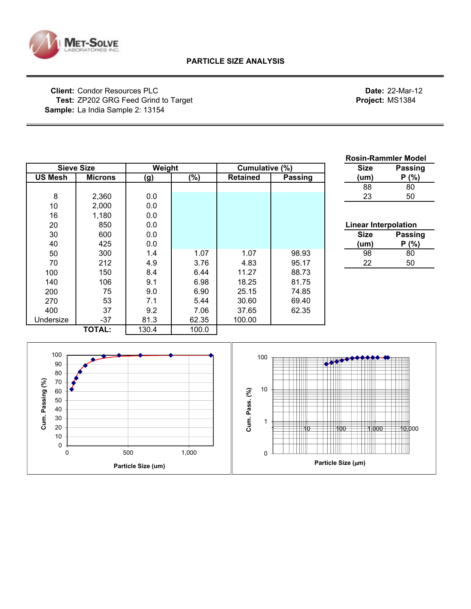![](_page_30_Picture_0.jpeg)

 

0 500 1,000

**Particle Size (um)**

## **Client:** Condor Resources PLC **Date:** 22-Mar-12 **Test:** ZP202 GRG Feed Grind to Target **Project:** MS1384 **Sample:** La India Sample 2: 13154

|                                                                   |                   |         |       |                             |                |              | <b>Rosin-Rammler Model</b>  |
|-------------------------------------------------------------------|-------------------|---------|-------|-----------------------------|----------------|--------------|-----------------------------|
|                                                                   | <b>Sieve Size</b> | Weight  |       | Cumulative (%)              |                | <b>Size</b>  | <b>Passing</b>              |
| <b>US Mesh</b>                                                    | <b>Microns</b>    | (g)     | (%)   | <b>Retained</b>             | <b>Passing</b> | (um)         | P(% )                       |
|                                                                   |                   |         |       |                             |                | 88           | 80                          |
| 8                                                                 | 2,360             | 0.0     |       |                             |                | 23           | 50                          |
| 10                                                                | 2,000             | 0.0     |       |                             |                |              |                             |
| 16                                                                | 1,180             | 0.0     |       |                             |                |              |                             |
| 20                                                                | 850               | 0.0     |       |                             |                |              | <b>Linear Interpolation</b> |
| 30                                                                | 600               | $0.0\,$ |       |                             |                | <b>Size</b>  | <b>Passing</b>              |
| 40                                                                | 425               | 0.0     |       |                             |                | (num)        | P(% )                       |
| 50                                                                | 300               | 1.4     | 1.07  | 1.07                        | 98.93          | 98           | 80                          |
| 70                                                                | 212               | 4.9     | 3.76  | 4.83                        | 95.17          | 22           | 50                          |
| 100                                                               | 150               | 8.4     | 6.44  | 11.27                       | 88.73          |              |                             |
| 140                                                               | 106               | 9.1     | 6.98  | 18.25                       | 81.75          |              |                             |
| 200                                                               | 75                | 9.0     | 6.90  | 25.15                       | 74.85          |              |                             |
| 270                                                               | 53                | 7.1     | 5.44  | 30.60                       | 69.40          |              |                             |
| 400                                                               | 37                | 9.2     | 7.06  | 37.65                       | 62.35          |              |                             |
| Undersize                                                         | $-37$             | 81.3    | 62.35 | 100.00                      |                |              |                             |
|                                                                   | <b>TOTAL:</b>     | 130.4   | 100.0 |                             |                |              |                             |
| 100<br>90<br>80<br>Cum. Passing (%)<br>70<br>60<br>50<br>40<br>30 |                   |         |       | 100<br>10<br>Cum. Pass. (%) |                |              |                             |
| 20                                                                |                   |         |       |                             | ₩0             | 100<br>1,000 | 10,000                      |

**Particle Size (**µ**m)**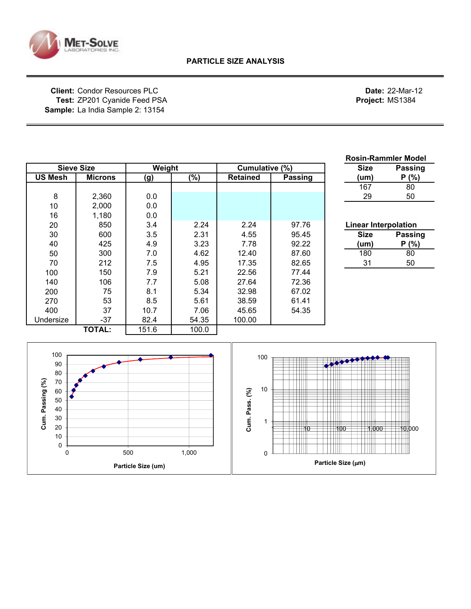![](_page_31_Picture_0.jpeg)

**Client:** Condor Resources PLC **Date:** 22-Mar-12 **Test:** ZP201 Cyanide Feed PSA **Project:** MS1384 **Sample:** La India Sample 2: 13154

|                |                   |            |        |                 |         |                             | <b>Rosin-Rammler Model</b> |
|----------------|-------------------|------------|--------|-----------------|---------|-----------------------------|----------------------------|
|                | <b>Sieve Size</b> | Weight     |        | Cumulative (%)  |         | <b>Size</b>                 | <b>Passing</b>             |
| <b>US Mesh</b> | <b>Microns</b>    | <u>(g)</u> | $(\%)$ | <b>Retained</b> | Passing | (um)                        | P(% )                      |
|                |                   |            |        |                 |         | 167                         | 80                         |
| 8              | 2,360             | 0.0        |        |                 |         | 29                          | 50                         |
| 10             | 2,000             | 0.0        |        |                 |         |                             |                            |
| 16             | 1,180             | 0.0        |        |                 |         |                             |                            |
| 20             | 850               | 3.4        | 2.24   | 2.24            | 97.76   | <b>Linear Interpolation</b> |                            |
| 30             | 600               | 3.5        | 2.31   | 4.55            | 95.45   | <b>Size</b>                 | <b>Passing</b>             |
| 40             | 425               | 4.9        | 3.23   | 7.78            | 92.22   | (um)                        | P(% )                      |
| 50             | 300               | 7.0        | 4.62   | 12.40           | 87.60   | 180                         | 80                         |
| 70             | 212               | 7.5        | 4.95   | 17.35           | 82.65   | 31                          | 50                         |
| 100            | 150               | 7.9        | 5.21   | 22.56           | 77.44   |                             |                            |
| 140            | 106               | 7.7        | 5.08   | 27.64           | 72.36   |                             |                            |
| 200            | 75                | 8.1        | 5.34   | 32.98           | 67.02   |                             |                            |
| 270            | 53                | 8.5        | 5.61   | 38.59           | 61.41   |                             |                            |
| 400            | 37                | 10.7       | 7.06   | 45.65           | 54.35   |                             |                            |
| Undersize      | $-37$             | 82.4       | 54.35  | 100.00          |         |                             |                            |
|                | <b>TOTAL:</b>     | 151.6      | 100.0  |                 |         |                             |                            |
|                |                   |            |        |                 |         |                             |                            |

![](_page_31_Figure_5.jpeg)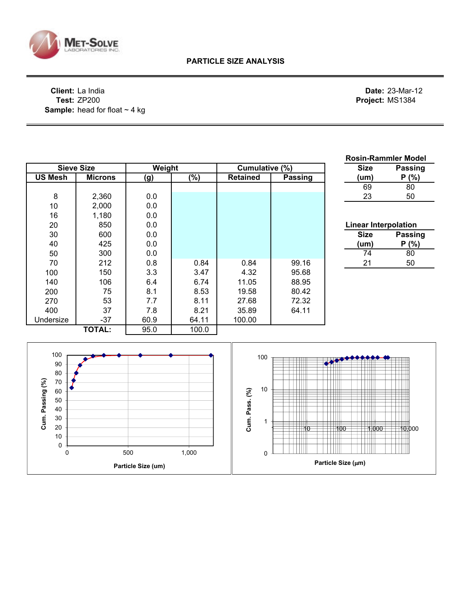![](_page_32_Picture_0.jpeg)

**Client:** La India **Date:** 23-Mar-12 **Test:** ZP200 **Project:** MS1384 Sample: head for float ~ 4 kg

| <b>Sieve Size</b><br>Weight<br>Cumulative (%)<br><b>Size</b><br><b>Passing</b><br><b>US Mesh</b><br>$\sqrt{(26)}$<br><b>Passing</b><br><b>Microns</b><br>(g)<br><b>Retained</b><br>P(% )<br>(num)<br>69<br>80<br>23<br>50<br>8<br>2,360<br>0.0<br>10<br>2,000<br>0.0<br>1,180<br>0.0<br>16<br>850<br>0.0<br>20<br><b>Linear Interpolation</b><br>0.0<br><b>Passing</b><br>30<br>600<br><b>Size</b><br>0.0<br>40<br>425<br>P(% )<br>(num)<br>300<br>0.0<br>50<br>$\overline{80}$<br>74<br>212<br>0.8<br>0.84<br>0.84<br>99.16<br>50<br>70<br>21<br>150<br>3.3<br>3.47<br>95.68<br>4.32<br>100<br>6.74<br>11.05<br>88.95<br>140<br>106<br>6.4<br>80.42<br>75<br>8.1<br>8.53<br>19.58<br>200<br>72.32<br>53<br>8.11<br>7.7<br>27.68<br>270<br>37<br>7.8<br>8.21<br>64.11<br>400<br>35.89<br>$-37$<br>60.9<br>64.11<br>100.00<br>Undersize<br><b>TOTAL:</b><br>95.0<br>100.0<br>100<br>100<br>90<br>80<br>- 111<br>Cum. Passing (%)<br>70<br>10<br>Cum. Pass. (%)<br>60<br>50<br>$\overline{\phantom{a}}$<br>40<br>30<br>1<br>$+ + +$<br>.<br>20<br>10,000<br>100<br>†† 10<br>1,000<br>$10$<br>$\frac{1}{2}$<br>$\mathbf{H}$<br>0<br>1,000<br>500<br>$\pmb{0}$<br>$\mathbf 0$<br>Particle Size (µm)<br>Particle Size (um) |  |  |  | <b>Rosin-Rammler Model</b> |  |
|-----------------------------------------------------------------------------------------------------------------------------------------------------------------------------------------------------------------------------------------------------------------------------------------------------------------------------------------------------------------------------------------------------------------------------------------------------------------------------------------------------------------------------------------------------------------------------------------------------------------------------------------------------------------------------------------------------------------------------------------------------------------------------------------------------------------------------------------------------------------------------------------------------------------------------------------------------------------------------------------------------------------------------------------------------------------------------------------------------------------------------------------------------------------------------------------------------------------------|--|--|--|----------------------------|--|
|                                                                                                                                                                                                                                                                                                                                                                                                                                                                                                                                                                                                                                                                                                                                                                                                                                                                                                                                                                                                                                                                                                                                                                                                                       |  |  |  |                            |  |
|                                                                                                                                                                                                                                                                                                                                                                                                                                                                                                                                                                                                                                                                                                                                                                                                                                                                                                                                                                                                                                                                                                                                                                                                                       |  |  |  |                            |  |
|                                                                                                                                                                                                                                                                                                                                                                                                                                                                                                                                                                                                                                                                                                                                                                                                                                                                                                                                                                                                                                                                                                                                                                                                                       |  |  |  |                            |  |
|                                                                                                                                                                                                                                                                                                                                                                                                                                                                                                                                                                                                                                                                                                                                                                                                                                                                                                                                                                                                                                                                                                                                                                                                                       |  |  |  |                            |  |
|                                                                                                                                                                                                                                                                                                                                                                                                                                                                                                                                                                                                                                                                                                                                                                                                                                                                                                                                                                                                                                                                                                                                                                                                                       |  |  |  |                            |  |
|                                                                                                                                                                                                                                                                                                                                                                                                                                                                                                                                                                                                                                                                                                                                                                                                                                                                                                                                                                                                                                                                                                                                                                                                                       |  |  |  |                            |  |
|                                                                                                                                                                                                                                                                                                                                                                                                                                                                                                                                                                                                                                                                                                                                                                                                                                                                                                                                                                                                                                                                                                                                                                                                                       |  |  |  |                            |  |
|                                                                                                                                                                                                                                                                                                                                                                                                                                                                                                                                                                                                                                                                                                                                                                                                                                                                                                                                                                                                                                                                                                                                                                                                                       |  |  |  |                            |  |
|                                                                                                                                                                                                                                                                                                                                                                                                                                                                                                                                                                                                                                                                                                                                                                                                                                                                                                                                                                                                                                                                                                                                                                                                                       |  |  |  |                            |  |
|                                                                                                                                                                                                                                                                                                                                                                                                                                                                                                                                                                                                                                                                                                                                                                                                                                                                                                                                                                                                                                                                                                                                                                                                                       |  |  |  |                            |  |
|                                                                                                                                                                                                                                                                                                                                                                                                                                                                                                                                                                                                                                                                                                                                                                                                                                                                                                                                                                                                                                                                                                                                                                                                                       |  |  |  |                            |  |
|                                                                                                                                                                                                                                                                                                                                                                                                                                                                                                                                                                                                                                                                                                                                                                                                                                                                                                                                                                                                                                                                                                                                                                                                                       |  |  |  |                            |  |
|                                                                                                                                                                                                                                                                                                                                                                                                                                                                                                                                                                                                                                                                                                                                                                                                                                                                                                                                                                                                                                                                                                                                                                                                                       |  |  |  |                            |  |
|                                                                                                                                                                                                                                                                                                                                                                                                                                                                                                                                                                                                                                                                                                                                                                                                                                                                                                                                                                                                                                                                                                                                                                                                                       |  |  |  |                            |  |
|                                                                                                                                                                                                                                                                                                                                                                                                                                                                                                                                                                                                                                                                                                                                                                                                                                                                                                                                                                                                                                                                                                                                                                                                                       |  |  |  |                            |  |
|                                                                                                                                                                                                                                                                                                                                                                                                                                                                                                                                                                                                                                                                                                                                                                                                                                                                                                                                                                                                                                                                                                                                                                                                                       |  |  |  |                            |  |
|                                                                                                                                                                                                                                                                                                                                                                                                                                                                                                                                                                                                                                                                                                                                                                                                                                                                                                                                                                                                                                                                                                                                                                                                                       |  |  |  |                            |  |
|                                                                                                                                                                                                                                                                                                                                                                                                                                                                                                                                                                                                                                                                                                                                                                                                                                                                                                                                                                                                                                                                                                                                                                                                                       |  |  |  |                            |  |
|                                                                                                                                                                                                                                                                                                                                                                                                                                                                                                                                                                                                                                                                                                                                                                                                                                                                                                                                                                                                                                                                                                                                                                                                                       |  |  |  |                            |  |
|                                                                                                                                                                                                                                                                                                                                                                                                                                                                                                                                                                                                                                                                                                                                                                                                                                                                                                                                                                                                                                                                                                                                                                                                                       |  |  |  |                            |  |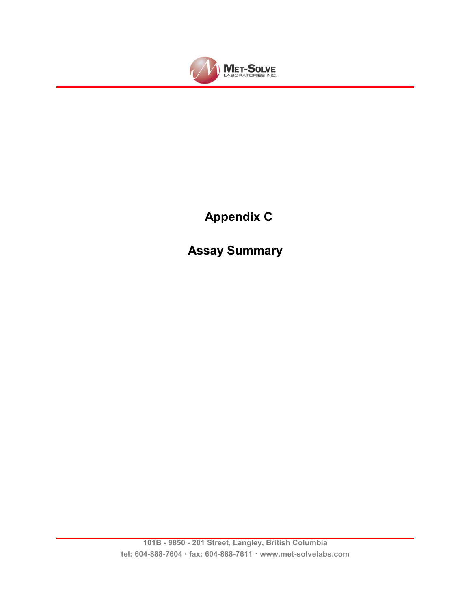![](_page_33_Picture_0.jpeg)

# **Appendix C**

**Assay Summary**

**101B - 9850 - 201 Street, Langley, British Columbia tel: 604-888-7604 fax: 604-888-7611** · **www.met-solvelabs.com**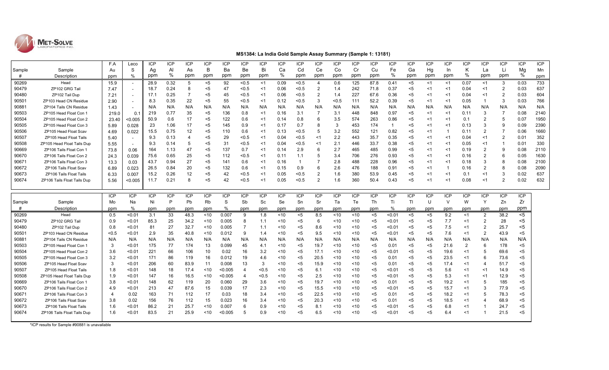![](_page_34_Picture_0.jpeg)

#### **MS1384: La India Gold Sample Assay Summary (Sample 1: 13181)**

|        |                                | F.A            | Leco       | <b>ICP</b> | <b>ICP</b> | <b>ICP</b> | <b>ICP</b> | <b>ICP</b> | <b>ICP</b>     | <b>ICP</b> | <b>ICP</b>    | <b>ICP</b>     | <b>ICP</b>     | <b>ICP</b> | <b>ICP</b> | <b>ICP</b> | <b>ICP</b>     | <b>ICP</b>     | ICP        | <b>ICP</b>               | <b>ICP</b>     | <b>ICP</b>            | <b>ICP</b>     | <b>ICP</b> | ICP  |
|--------|--------------------------------|----------------|------------|------------|------------|------------|------------|------------|----------------|------------|---------------|----------------|----------------|------------|------------|------------|----------------|----------------|------------|--------------------------|----------------|-----------------------|----------------|------------|------|
| Sample | Sample                         | Au             | S          | Ag         | AI         | As         | B          | Ba         | <b>Be</b>      | Bi         | Ca            | Cd             | Ce             | Co         | Cr         | Cu         | Fe             | Ga             | Hg         | In                       | K              | La                    | Li             | Mg         | Mn   |
| #      | Description                    | ppm            | $\%$       | ppm        | %          | ppm        | ppm        | ppm        | ppm            | ppm        | %             | ppm            | ppm            | ppm        | ppm        | ppm        | %              | ppm            | ppm        | ppm                      | %              | ppm                   | ppm            | %          | ppm  |
| 90269  | Head                           | 15.9           | $\sim$     | 28.9       | 0.32       | 5          | $5$        | 92         | < 0.5          | $<$ 1      | 0.09          | < 0.5          | $\overline{4}$ | 0.6        | 125        | 87.8       | 0.41           | <5             | <1         | $\leq$ 1                 | 0.07           | <1                    | 3              | 0.03       | 733  |
| 90479  | ZP102 GRG Tail                 | 7.47           |            | 18.7       | 0.24       | 8          | $5$        | 47         | < 0.5          | <1         | 0.06          | < 0.5          | $\overline{2}$ | 1.4        | 242        | 71.8       | 0.37           | <5             | <1         | <1                       | 0.04           | $<$ 1                 | $\overline{2}$ | 0.03       | 637  |
| 90480  | ZP102 Tail Dup                 | 7.21           |            | 17.1       | 0.25       |            | $5$        | 45         | < 0.5          | $<$ 1      | 0.06          | < 0.5          | $\overline{2}$ | 1.4        | 227        | 67.6       | 0.36           | <5             | $<$ 1      | <1                       | 0.04           | $<$ 1                 | $\overline{2}$ | 0.03       | 604  |
| 90501  | ZP103 Head CN Residue          | 2.90           |            | 8.3        | 0.35       | 22         | $5$        | 55         | < 0.5          | $<$ 1      | 0.12          | < 0.5          | 3              | < 0.5      | 111        | 52.2       | 0.39           | <5             | <1         | <1                       | 0.05           | $\overline{1}$        | 3              | 0.03       | 766  |
| 90881  | ZP104 Tails CN Residue         | 1.43           |            | N/A        | N/A        | N/A        | N/A        | N/A        | N/A            | N/A        | N/A           | N/A            | N/A            | N/A        | N/A        | N/A        | N/A            | N/A            | N/A        | N/A                      | N/A            | N/A                   | N/A            | N/A        | N/A  |
| 90503  | ZP105 Head Float Con 1         | 219.0          | 0.1        | 219        | 0.77       | 35         | $5$        | 136        | 0.8            | <1         | 0.16          | 3.1            | 7              | 3.1        | 448        | 848        | 0.97           | <5             | <1         | $<$ 1                    | 0.11           | 3                     | $\overline{7}$ | 0.08       | 2140 |
| 90504  | ZP105 Head Float Con 2         | 23.40          | < 0.005    | 50.9       | 0.6        | 17         | $5$        | 122        | 0.6            | <1         | 0.14          | 0.8            | 6              | 3.5        | 574        | 263        | 0.86           | <5             | <1         | $<$ 1                    | 0.1            | $\overline{2}$        | 5              | 0.07       | 1950 |
| 90505  | ZP105 Head Float Con 3         | 5.89           | 0.028      | 23         | 1.06       | 17         | $5$        | 145        | 0.9            | $<$ 1      | 0.17          | 0.7            | 8              | 3          | 453        | 174        | $\overline{1}$ | <5             | $<$ 1      | $<$ 1                    | 0.13           | 3                     | 9              | 0.09       | 2390 |
| 90506  | ZP105 Head Float Scav          | 4.69           | 0.022      | 15.5       | 0.75       | 12         | $5$        | 110        | 0.6            | <1         | 0.13          | < 0.5          | 5              | 3.2        | 552        | 121        | 0.82           | <5             | $<$ 1      | $\overline{\phantom{a}}$ | 0.11           | $\overline{2}$        | $\overline{7}$ | 0.06       | 1660 |
| 90507  | <b>ZP105 Head Float Tails</b>  | 5.40           |            | 9.3        | 0.13       | 4          | $5$        | 29         | < 0.5          | <1         | 0.04          | < 0.5          | <1             | 2.2        | 443        | 35.7       | 0.35           | <5             | <1         | <1                       | 0.04           | $<$ 1                 | 2              | 0.01       | 352  |
| 90508  | ZP105 Head Float Tails Dup     | 5.55           |            | 9.3        | 0.14       | 5          | $5$        | 31         | < 0.5          | <1         | 0.04          | < 0.5          | < 1            | 2.1        | 446        | 33.7       | 0.38           | <5             | <1         | <1                       | 0.05           | $<$ 1                 | $\overline{1}$ | 0.01       | 330  |
| 90669  | ZP106 Tails Float Con 1        | 73.8           | 0.06       | 164        | 1.13       | 47         | $5$        | 137        | 0.7            | $<$ 1      | 0.14          | 2.9            | 6              | 2.7        | 465        | 485        | 0.99           | <5             | ≺1         | <1                       | 0.19           | $\overline{2}$        | 9              | 0.08       | 2110 |
| 90670  | ZP106 Tails Float Con 2        | 24.3           | 0.039      | 75.6       | 0.65       | 25         | $5$        | 112        | < 0.5          | <1         | $0.1^{\circ}$ | 1.1            | 5              | 3.4        | 706        | 276        | 0.93           | <5             | $<$ 1      | <1                       | 0.16           | $\overline{2}$        | 6              | 0.05       | 1630 |
| 90671  | ZP106 Tails Float Con 3        | 13.3           | 0.03       | 43.7       | 0.94       | 27         | $5$        | 141        | 0.6            | <1         | 0.16          | $\overline{1}$ |                | 2.8        | 488        | 228        | 0.96           | <5             | <1         | <1                       | 0.18           | 3                     | 8              | 0.08       | 2100 |
| 90672  | <b>ZP106 Tails Float Scav</b>  | 6.89           | 0.023      | 26.5       | 0.84       | 20         | $5$        | 132        | 0.6            | $<$ 1      | 0.15          | 0.9            | 6              | 2.6        | 476        | 188        | 0.91           | <5             | $<$ 1      |                          | 0.16           | $\overline{2}$        | 8              | 0.08       | 2090 |
| 90673  | <b>ZP106 Tails Float Tails</b> | 6.33           | 0.007      | 15.2       | 0.26       | 12         | <5         | 42         | < 0.5          | $<$ 1      | 0.05          | < 0.5          | 2              | 1.6        | 380        | 53.9       | 0.45           | <5             | <1         | <1                       | 0.1            | $<$ 1                 | 3              | 0.02       | 637  |
| 90674  | ZP106 Tails Float Tails Dup    | 5.56           | < 0.005    | 11.7       | 0.21       | 8          | $5$        | 42         | < 0.5          | <1         | 0.05          | < 0.5          | $\overline{2}$ | 1.6        | 360        | 50.4       | 0.43           | <5             | <1         | <1                       | 0.08           | $<$ 1                 | $\overline{2}$ | 0.02       | 632  |
|        |                                |                |            |            |            |            |            |            |                |            |               |                |                |            |            |            |                |                |            |                          |                |                       |                |            |      |
|        |                                | ICP            | <b>ICP</b> | <b>ICP</b> | <b>ICP</b> | <b>ICP</b> | ICP        | <b>ICP</b> | <b>ICP</b>     | <b>ICP</b> | <b>ICP</b>    | <b>ICP</b>     | <b>ICP</b>     | <b>ICP</b> | <b>ICP</b> | <b>ICP</b> | <b>ICP</b>     | <b>ICP</b>     | <b>ICP</b> | <b>ICP</b>               | <b>ICP</b>     | <b>ICP</b>            | <b>ICP</b>     | ICP        |      |
| Sample | Sample                         | Mo             | Na         | Ni         | P          | Pb         | <b>Rb</b>  | S          | Sb             | Sc         | Se            | Sn             | Sr             | Ta         | Te         | Th         | Ti             | T <sub>l</sub> | U          | $\vee$                   | W              | Y                     | Zn             | Zr         |      |
| #      | Description                    | ppm            | %          | ppm        | ppm        | ppm        | ppm        | %          | ppm            | ppm        | ppm           | ppm            | ppm            | ppm        | ppm        | ppm        | %              | ppm            | ppm        | ppm                      | ppm            | ppm                   | ppm            | ppm        |      |
| 90269  | Head                           | 0.5            | $0.01$     | 3.1        | 33         | 48.3       | ~10        | 0.007      | 9              | 1.8        | ~10           | <5             | 8.5            | $10$       | ~10        | $5$        | < 0.01         | <5             | $5$        | 9.2                      | $<$ 1          | $\overline{2}$        | 38.2           | $<$ 5      |      |
| 90479  | ZP102 GRG Tail                 | 0.9            | < 0.01     | 85.3       | 25         | 34.2       | < 10       | 0.005      | 8              | 1.1        | <10           | $5$            | 6              | 10         | $10$       | $5$        | < 0.01         | <5             | $5$        | 7.7                      | <1             | $\overline{2}$        | 28             | $<$ 5      |      |
| 90480  | ZP102 Tail Dup                 | 0.8            | < 0.01     | 81         | 27         | 32.7       | $10^{-1}$  | 0.005      | $\overline{7}$ | 1.1        | ~10           | $5$            | 8.6            | 10         | $10$       | $5$        | < 0.01         | <5             | $5$        | 7.5                      | $<$ 1          | $\overline{2}$        | 25.7           | <5         |      |
| 90501  | ZP103 Head CN Residue          | < 0.5          | $0.01$     | 2.9        | 35         | 40.8       | ~10        | 0.012      | -9             | 1.4        | ~10           | $5$            | 9.5            | $10$       | < 10       | $5$        | < 0.01         | <5             | $5$        | 7.6                      | $<$ 1          | $\overline{2}$        | 43.9           | $<$ 5      |      |
| 90881  | ZP104 Tails CN Residue         | N/A            | N/A        | N/A        | N/A        | N/A        | N/A        | N/A        | N/A            | N/A        | N/A           | N/A            | N/A            | N/A        | N/A        | N/A        | N/A            | N/A            | N/A        | N/A                      | N/A            | N/A                   | N/A            | N/A        |      |
| 90503  | ZP105 Head Float Con           | 3              | $0.01$     | 175        | 77         | 174        | 13         | 0.099      | 45             | 4.1        | ~10           | $5$            | 19.7           | ~10        | < 10       | $5$        | 0.01           | <5             | $5$        | 21.6                     | $\overline{2}$ | 6                     | 178            | $<$ 5      |      |
| 90504  | ZP105 Head Float Con 2         | 3.6            | $0.01$     | 221        | 66         | 106        | 10         | 0.02       | 16             | 3.2        | ~10           | <5             | 17.1           | ~10        | ~10        | $5$        | $0.01$         | <5             | $5$        | 19.6                     | <1             | 5                     | 69.6           | $<$ 5      |      |
| 90505  | ZP105 Head Float Con 3         | 3.2            | <0.01      | 171        | 86         | 119        | 16         | 0.012      | 19             | 4.6        | ~10           | <5             | 20.5           | $10$       | ~10        | <5         | 0.01           | <5             | $5$        | 23.5                     | <1             | 6                     | 73.6           | <5         |      |
| 90506  | ZP105 Head Float Scav          | 3              | $0.01$     | 206        | 60         | 83.9       | 11         | 0.008      | 13             | 3          | ~10           | $5$            | 15.9           | < 10       | ~10        | $5$        | 0.01           | <5             | $5$        | 17.4                     | <1             | $\overline{4}$        | 51.7           | $<$ 5      |      |
| 90507  | <b>ZP105 Head Float Tails</b>  | 1.8            | $0.01$     | 148        | 18         | 17.4       | 10         | < 0.005    | $\overline{4}$ | < 0.5      | ~10           | $5$            | 6.1            | < 10       | < 10       | $5$        | $0.01$         | <5             | $5$        | 5.6                      | <1             | $<$ 1                 | 14.9           | $<$ 5      |      |
| 90508  | ZP105 Head Float Tails Dup     | 1.9            | $0.01$     | 147        | 16         | 16.5       | 10         | < 0.005    | $\overline{4}$ | < 0.5      | ~10           | <5             | 2.5            | $10$       | ~10        | $5$        | < 0.01         | <5             | $5$        | 5.3                      | <1             | $<$ 1                 | 12.9           | <5         |      |
| 90669  | ZP106 Tails Float Con 1        | 3.8            | $0.01$     | 148        | 62         | 119        | 20         | 0.060      | 29             | 3.6        | ~10           | $5$            | 19.7           | $10$       | < 10       | $5$        | 0.01           | <5             | $5$        | 19.2                     | <1             | 5                     | 185            | $<$ 5      |      |
| 90670  | ZP106 Tails Float Con 2        | 4.9            | < 0.01     | 213        | 47         | 87.6       | 15         | 0.039      | 17             | 2.3        | ~10           | $5$            | 15.5           | $10$       | ~10        | $5$        | $0.01$         | <5             | $5$        | 15.7                     | $<$ 1          | 3                     | 77.9           | $<$ 5      |      |
| 90671  | ZP106 Tails Float Con 3        | $\overline{4}$ | 0.02       | 163        | 71         | 112        | 17         | 0.03       | 18             | 3.4        | ~10           | $5$            | 22.5           | < 10       | $10$       | $5$        | 0.01           | $5$            | $5$        | 18.2                     | $<$ 1          | 5                     | 78.3           | $<$ 5      |      |
| 90672  | ZP106 Tails Float Scav         | 3.8            | 0.02       | 156        | 76         | 112        | 15         | 0.023      | 16             | 3.4        | $10$          | <5             | 20.3           | $10$       | $10$       | $5$        | 0.01           | ≺5             | $5$        | 18.5                     | $<$ 1          | $\boldsymbol{\Delta}$ | 68.9           | <5         |      |
| 90673  | ZP106 Tails Float Tails        | 1.6            | $0.01$     | 86.2       | 21         | 25.7       | 10         | 0.007      | 6              | 0.9        | $10$          | <5             | 8.1            | $10$       | $10$       | $5$        | 50.01          | <5             | $5$        | 6.8                      | <1             |                       | 24.7           | $<$ 5      |      |
| 90674  | ZP106 Tails Float Tails Dup    | 1.6            | $0.01$     | 83.5       | 21         | 25.9       | 10         | <0.005     | -5             | 0.9        | $10$          | <5             | 6.5            | ~10        | $10$       | $5$        | $0.01$         | $5$            | $5$        | 6.4                      | <1             |                       | 21.5           | $<$ 5      |      |
|        |                                |                |            |            |            |            |            |            |                |            |               |                |                |            |            |            |                |                |            |                          |                |                       |                |            |      |
|        |                                |                |            |            |            |            |            |            |                |            |               |                |                |            |            |            |                |                |            |                          |                |                       |                |            |      |

\*ICP results for Sample #90881 is unavailable